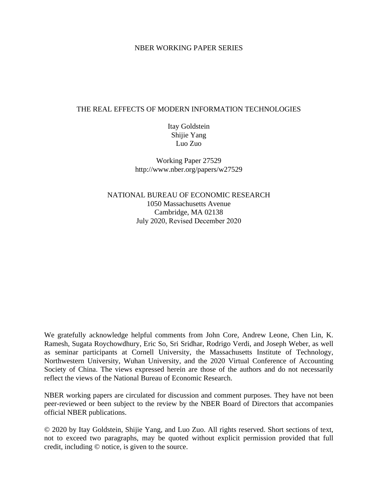# NBER WORKING PAPER SERIES

# THE REAL EFFECTS OF MODERN INFORMATION TECHNOLOGIES

Itay Goldstein Shijie Yang Luo Zuo

Working Paper 27529 http://www.nber.org/papers/w27529

NATIONAL BUREAU OF ECONOMIC RESEARCH 1050 Massachusetts Avenue Cambridge, MA 02138 July 2020, Revised December 2020

We gratefully acknowledge helpful comments from John Core, Andrew Leone, Chen Lin, K. Ramesh, Sugata Roychowdhury, Eric So, Sri Sridhar, Rodrigo Verdi, and Joseph Weber, as well as seminar participants at Cornell University, the Massachusetts Institute of Technology, Northwestern University, Wuhan University, and the 2020 Virtual Conference of Accounting Society of China. The views expressed herein are those of the authors and do not necessarily reflect the views of the National Bureau of Economic Research.

NBER working papers are circulated for discussion and comment purposes. They have not been peer-reviewed or been subject to the review by the NBER Board of Directors that accompanies official NBER publications.

© 2020 by Itay Goldstein, Shijie Yang, and Luo Zuo. All rights reserved. Short sections of text, not to exceed two paragraphs, may be quoted without explicit permission provided that full credit, including © notice, is given to the source.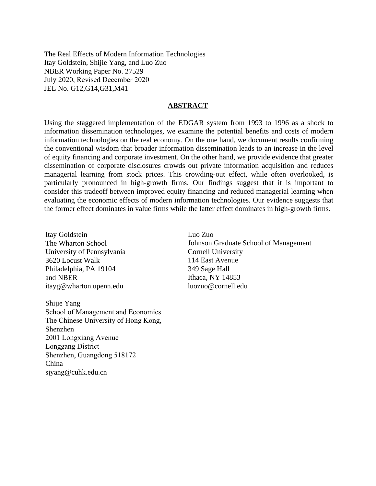The Real Effects of Modern Information Technologies Itay Goldstein, Shijie Yang, and Luo Zuo NBER Working Paper No. 27529 July 2020, Revised December 2020 JEL No. G12,G14,G31,M41

# **ABSTRACT**

Using the staggered implementation of the EDGAR system from 1993 to 1996 as a shock to information dissemination technologies, we examine the potential benefits and costs of modern information technologies on the real economy. On the one hand, we document results confirming the conventional wisdom that broader information dissemination leads to an increase in the level of equity financing and corporate investment. On the other hand, we provide evidence that greater dissemination of corporate disclosures crowds out private information acquisition and reduces managerial learning from stock prices. This crowding-out effect, while often overlooked, is particularly pronounced in high-growth firms. Our findings suggest that it is important to consider this tradeoff between improved equity financing and reduced managerial learning when evaluating the economic effects of modern information technologies. Our evidence suggests that the former effect dominates in value firms while the latter effect dominates in high-growth firms.

Itay Goldstein The Wharton School University of Pennsylvania 3620 Locust Walk Philadelphia, PA 19104 and NBER itayg@wharton.upenn.edu

Shijie Yang School of Management and Economics The Chinese University of Hong Kong, Shenzhen 2001 Longxiang Avenue Longgang District Shenzhen, Guangdong 518172 China sjyang@cuhk.edu.cn

Luo Zuo Johnson Graduate School of Management Cornell University 114 East Avenue 349 Sage Hall Ithaca, NY 14853 luozuo@cornell.edu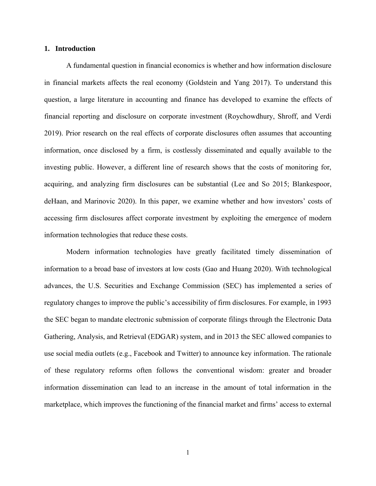# **1. Introduction**

A fundamental question in financial economics is whether and how information disclosure in financial markets affects the real economy (Goldstein and Yang 2017). To understand this question, a large literature in accounting and finance has developed to examine the effects of financial reporting and disclosure on corporate investment (Roychowdhury, Shroff, and Verdi 2019). Prior research on the real effects of corporate disclosures often assumes that accounting information, once disclosed by a firm, is costlessly disseminated and equally available to the investing public. However, a different line of research shows that the costs of monitoring for, acquiring, and analyzing firm disclosures can be substantial (Lee and So 2015; Blankespoor, deHaan, and Marinovic 2020). In this paper, we examine whether and how investors' costs of accessing firm disclosures affect corporate investment by exploiting the emergence of modern information technologies that reduce these costs.

Modern information technologies have greatly facilitated timely dissemination of information to a broad base of investors at low costs (Gao and Huang 2020). With technological advances, the U.S. Securities and Exchange Commission (SEC) has implemented a series of regulatory changes to improve the public's accessibility of firm disclosures. For example, in 1993 the SEC began to mandate electronic submission of corporate filings through the Electronic Data Gathering, Analysis, and Retrieval (EDGAR) system, and in 2013 the SEC allowed companies to use social media outlets (e.g., Facebook and Twitter) to announce key information. The rationale of these regulatory reforms often follows the conventional wisdom: greater and broader information dissemination can lead to an increase in the amount of total information in the marketplace, which improves the functioning of the financial market and firms' access to external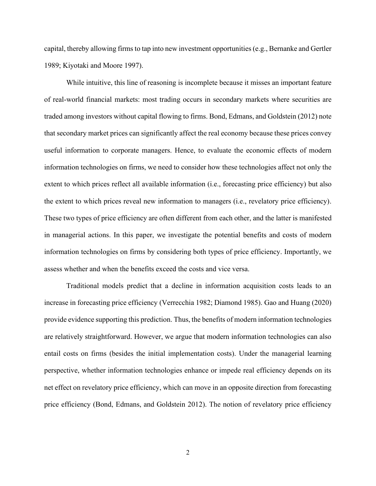capital, thereby allowing firms to tap into new investment opportunities (e.g., Bernanke and Gertler 1989; Kiyotaki and Moore 1997).

While intuitive, this line of reasoning is incomplete because it misses an important feature of real-world financial markets: most trading occurs in secondary markets where securities are traded among investors without capital flowing to firms. Bond, Edmans, and Goldstein (2012) note that secondary market prices can significantly affect the real economy because these prices convey useful information to corporate managers. Hence, to evaluate the economic effects of modern information technologies on firms, we need to consider how these technologies affect not only the extent to which prices reflect all available information (i.e., forecasting price efficiency) but also the extent to which prices reveal new information to managers (i.e., revelatory price efficiency). These two types of price efficiency are often different from each other, and the latter is manifested in managerial actions. In this paper, we investigate the potential benefits and costs of modern information technologies on firms by considering both types of price efficiency. Importantly, we assess whether and when the benefits exceed the costs and vice versa.

Traditional models predict that a decline in information acquisition costs leads to an increase in forecasting price efficiency (Verrecchia 1982; Diamond 1985). Gao and Huang (2020) provide evidence supporting this prediction. Thus, the benefits of modern information technologies are relatively straightforward. However, we argue that modern information technologies can also entail costs on firms (besides the initial implementation costs). Under the managerial learning perspective, whether information technologies enhance or impede real efficiency depends on its net effect on revelatory price efficiency, which can move in an opposite direction from forecasting price efficiency (Bond, Edmans, and Goldstein 2012). The notion of revelatory price efficiency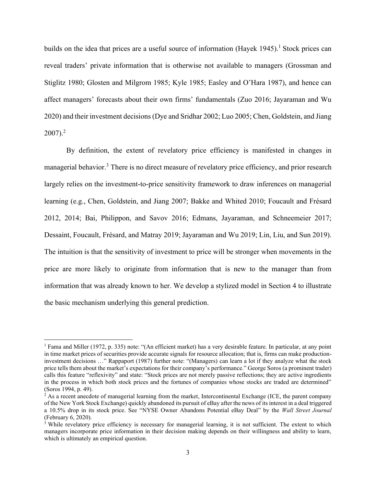builds on the idea that prices are a useful source of information  $(Hayek 1945)$ .<sup>1</sup> Stock prices can reveal traders' private information that is otherwise not available to managers (Grossman and Stiglitz 1980; Glosten and Milgrom 1985; Kyle 1985; Easley and O'Hara 1987), and hence can affect managers' forecasts about their own firms' fundamentals (Zuo 2016; Jayaraman and Wu 2020) and their investment decisions (Dye and Sridhar 2002; Luo 2005; Chen, Goldstein, and Jiang  $2007$ ).<sup>2</sup>

By definition, the extent of revelatory price efficiency is manifested in changes in managerial behavior.<sup>3</sup> There is no direct measure of revelatory price efficiency, and prior research largely relies on the investment-to-price sensitivity framework to draw inferences on managerial learning (e.g., Chen, Goldstein, and Jiang 2007; Bakke and Whited 2010; Foucault and Frésard 2012, 2014; Bai, Philippon, and Savov 2016; Edmans, Jayaraman, and Schneemeier 2017; Dessaint, Foucault, Frésard, and Matray 2019; Jayaraman and Wu 2019; Lin, Liu, and Sun 2019). The intuition is that the sensitivity of investment to price will be stronger when movements in the price are more likely to originate from information that is new to the manager than from information that was already known to her. We develop a stylized model in Section 4 to illustrate the basic mechanism underlying this general prediction.

<sup>&</sup>lt;sup>1</sup> Fama and Miller (1972, p. 335) note: "(An efficient market) has a very desirable feature. In particular, at any point in time market prices of securities provide accurate signals for resource allocation; that is, firms can make productioninvestment decisions …" Rappaport (1987) further note: "(Managers) can learn a lot if they analyze what the stock price tells them about the market's expectations for their company's performance." George Soros (a prominent trader) calls this feature "reflexivity" and state: "Stock prices are not merely passive reflections; they are active ingredients in the process in which both stock prices and the fortunes of companies whose stocks are traded are determined" (Soros 1994, p. 49).

 $^{2}$  As a recent anecdote of managerial learning from the market, Intercontinental Exchange (ICE, the parent company of the New York Stock Exchange) quickly abandoned its pursuit of eBay after the news of its interest in a deal triggered a 10.5% drop in its stock price. See "NYSE Owner Abandons Potential eBay Deal" by the *Wall Street Journal* (February 6, 2020).

<sup>&</sup>lt;sup>3</sup> While revelatory price efficiency is necessary for managerial learning, it is not sufficient. The extent to which managers incorporate price information in their decision making depends on their willingness and ability to learn, which is ultimately an empirical question.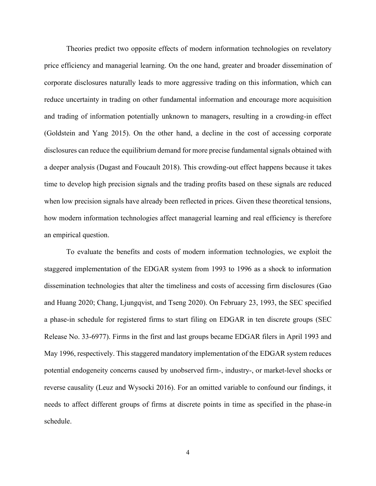Theories predict two opposite effects of modern information technologies on revelatory price efficiency and managerial learning. On the one hand, greater and broader dissemination of corporate disclosures naturally leads to more aggressive trading on this information, which can reduce uncertainty in trading on other fundamental information and encourage more acquisition and trading of information potentially unknown to managers, resulting in a crowding-in effect (Goldstein and Yang 2015). On the other hand, a decline in the cost of accessing corporate disclosures can reduce the equilibrium demand for more precise fundamental signals obtained with a deeper analysis (Dugast and Foucault 2018). This crowding-out effect happens because it takes time to develop high precision signals and the trading profits based on these signals are reduced when low precision signals have already been reflected in prices. Given these theoretical tensions, how modern information technologies affect managerial learning and real efficiency is therefore an empirical question.

To evaluate the benefits and costs of modern information technologies, we exploit the staggered implementation of the EDGAR system from 1993 to 1996 as a shock to information dissemination technologies that alter the timeliness and costs of accessing firm disclosures (Gao and Huang 2020; Chang, Ljungqvist, and Tseng 2020). On February 23, 1993, the SEC specified a phase-in schedule for registered firms to start filing on EDGAR in ten discrete groups (SEC Release No. 33-6977). Firms in the first and last groups became EDGAR filers in April 1993 and May 1996, respectively. This staggered mandatory implementation of the EDGAR system reduces potential endogeneity concerns caused by unobserved firm-, industry-, or market-level shocks or reverse causality (Leuz and Wysocki 2016). For an omitted variable to confound our findings, it needs to affect different groups of firms at discrete points in time as specified in the phase-in schedule.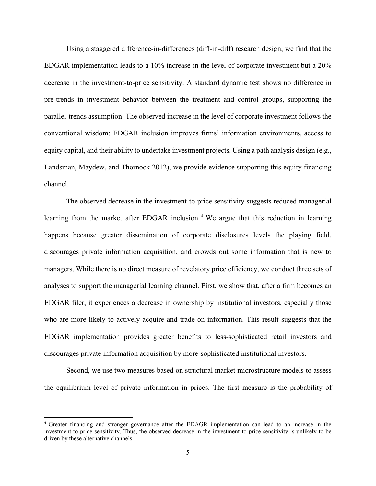Using a staggered difference-in-differences (diff-in-diff) research design, we find that the EDGAR implementation leads to a 10% increase in the level of corporate investment but a 20% decrease in the investment-to-price sensitivity. A standard dynamic test shows no difference in pre-trends in investment behavior between the treatment and control groups, supporting the parallel-trends assumption. The observed increase in the level of corporate investment follows the conventional wisdom: EDGAR inclusion improves firms' information environments, access to equity capital, and their ability to undertake investment projects. Using a path analysis design (e.g., Landsman, Maydew, and Thornock 2012), we provide evidence supporting this equity financing channel.

The observed decrease in the investment-to-price sensitivity suggests reduced managerial learning from the market after EDGAR inclusion.<sup>4</sup> We argue that this reduction in learning happens because greater dissemination of corporate disclosures levels the playing field, discourages private information acquisition, and crowds out some information that is new to managers. While there is no direct measure of revelatory price efficiency, we conduct three sets of analyses to support the managerial learning channel. First, we show that, after a firm becomes an EDGAR filer, it experiences a decrease in ownership by institutional investors, especially those who are more likely to actively acquire and trade on information. This result suggests that the EDGAR implementation provides greater benefits to less-sophisticated retail investors and discourages private information acquisition by more-sophisticated institutional investors.

Second, we use two measures based on structural market microstructure models to assess the equilibrium level of private information in prices. The first measure is the probability of

<sup>4</sup> Greater financing and stronger governance after the EDAGR implementation can lead to an increase in the investment-to-price sensitivity. Thus, the observed decrease in the investment-to-price sensitivity is unlikely to be driven by these alternative channels.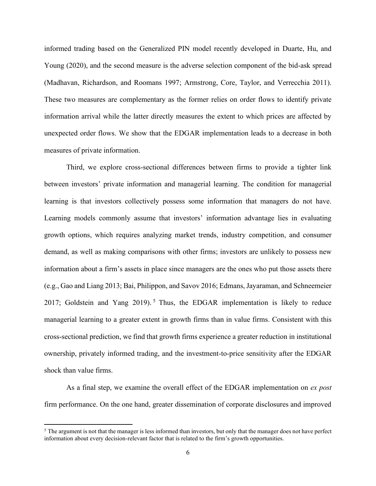informed trading based on the Generalized PIN model recently developed in Duarte, Hu, and Young (2020), and the second measure is the adverse selection component of the bid-ask spread (Madhavan, Richardson, and Roomans 1997; Armstrong, Core, Taylor, and Verrecchia 2011). These two measures are complementary as the former relies on order flows to identify private information arrival while the latter directly measures the extent to which prices are affected by unexpected order flows. We show that the EDGAR implementation leads to a decrease in both measures of private information.

Third, we explore cross-sectional differences between firms to provide a tighter link between investors' private information and managerial learning. The condition for managerial learning is that investors collectively possess some information that managers do not have. Learning models commonly assume that investors' information advantage lies in evaluating growth options, which requires analyzing market trends, industry competition, and consumer demand, as well as making comparisons with other firms; investors are unlikely to possess new information about a firm's assets in place since managers are the ones who put those assets there (e.g., Gao and Liang 2013; Bai, Philippon, and Savov 2016; Edmans, Jayaraman, and Schneemeier 2017; Goldstein and Yang 2019). <sup>5</sup> Thus, the EDGAR implementation is likely to reduce managerial learning to a greater extent in growth firms than in value firms. Consistent with this cross-sectional prediction, we find that growth firms experience a greater reduction in institutional ownership, privately informed trading, and the investment-to-price sensitivity after the EDGAR shock than value firms.

As a final step, we examine the overall effect of the EDGAR implementation on *ex post* firm performance. On the one hand, greater dissemination of corporate disclosures and improved

<sup>&</sup>lt;sup>5</sup> The argument is not that the manager is less informed than investors, but only that the manager does not have perfect information about every decision-relevant factor that is related to the firm's growth opportunities.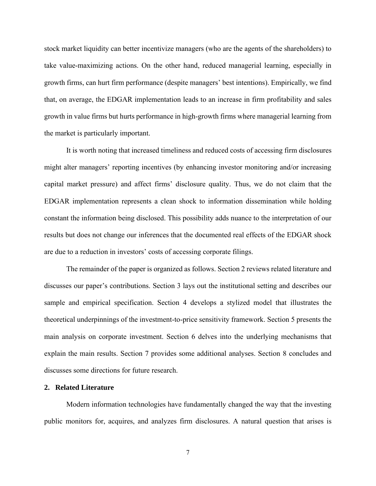stock market liquidity can better incentivize managers (who are the agents of the shareholders) to take value-maximizing actions. On the other hand, reduced managerial learning, especially in growth firms, can hurt firm performance (despite managers' best intentions). Empirically, we find that, on average, the EDGAR implementation leads to an increase in firm profitability and sales growth in value firms but hurts performance in high-growth firms where managerial learning from the market is particularly important.

It is worth noting that increased timeliness and reduced costs of accessing firm disclosures might alter managers' reporting incentives (by enhancing investor monitoring and/or increasing capital market pressure) and affect firms' disclosure quality. Thus, we do not claim that the EDGAR implementation represents a clean shock to information dissemination while holding constant the information being disclosed. This possibility adds nuance to the interpretation of our results but does not change our inferences that the documented real effects of the EDGAR shock are due to a reduction in investors' costs of accessing corporate filings.

The remainder of the paper is organized as follows. Section 2 reviews related literature and discusses our paper's contributions. Section 3 lays out the institutional setting and describes our sample and empirical specification. Section 4 develops a stylized model that illustrates the theoretical underpinnings of the investment-to-price sensitivity framework. Section 5 presents the main analysis on corporate investment. Section 6 delves into the underlying mechanisms that explain the main results. Section 7 provides some additional analyses. Section 8 concludes and discusses some directions for future research.

#### **2. Related Literature**

Modern information technologies have fundamentally changed the way that the investing public monitors for, acquires, and analyzes firm disclosures. A natural question that arises is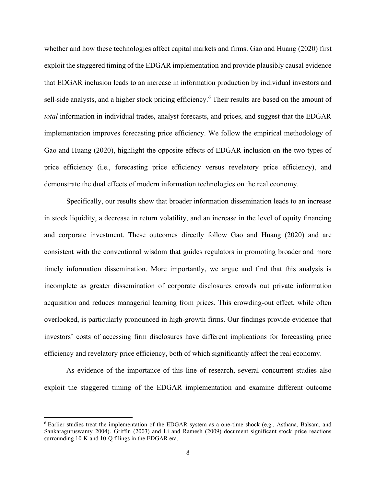whether and how these technologies affect capital markets and firms. Gao and Huang (2020) first exploit the staggered timing of the EDGAR implementation and provide plausibly causal evidence that EDGAR inclusion leads to an increase in information production by individual investors and sell-side analysts, and a higher stock pricing efficiency.<sup>6</sup> Their results are based on the amount of *total* information in individual trades, analyst forecasts, and prices, and suggest that the EDGAR implementation improves forecasting price efficiency. We follow the empirical methodology of Gao and Huang (2020), highlight the opposite effects of EDGAR inclusion on the two types of price efficiency (i.e., forecasting price efficiency versus revelatory price efficiency), and demonstrate the dual effects of modern information technologies on the real economy.

Specifically, our results show that broader information dissemination leads to an increase in stock liquidity, a decrease in return volatility, and an increase in the level of equity financing and corporate investment. These outcomes directly follow Gao and Huang (2020) and are consistent with the conventional wisdom that guides regulators in promoting broader and more timely information dissemination. More importantly, we argue and find that this analysis is incomplete as greater dissemination of corporate disclosures crowds out private information acquisition and reduces managerial learning from prices. This crowding-out effect, while often overlooked, is particularly pronounced in high-growth firms. Our findings provide evidence that investors' costs of accessing firm disclosures have different implications for forecasting price efficiency and revelatory price efficiency, both of which significantly affect the real economy.

As evidence of the importance of this line of research, several concurrent studies also exploit the staggered timing of the EDGAR implementation and examine different outcome

<sup>6</sup> Earlier studies treat the implementation of the EDGAR system as a one-time shock (e.g., Asthana, Balsam, and Sankaraguruswamy 2004). Griffin (2003) and Li and Ramesh (2009) document significant stock price reactions surrounding 10-K and 10-Q filings in the EDGAR era.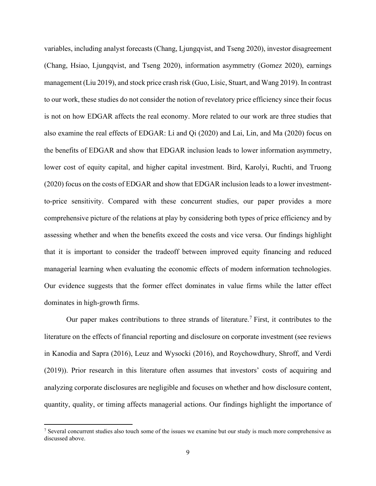variables, including analyst forecasts (Chang, Ljungqvist, and Tseng 2020), investor disagreement (Chang, Hsiao, Ljungqvist, and Tseng 2020), information asymmetry (Gomez 2020), earnings management (Liu 2019), and stock price crash risk (Guo, Lisic, Stuart, and Wang 2019). In contrast to our work, these studies do not consider the notion of revelatory price efficiency since their focus is not on how EDGAR affects the real economy. More related to our work are three studies that also examine the real effects of EDGAR: Li and Qi (2020) and Lai, Lin, and Ma (2020) focus on the benefits of EDGAR and show that EDGAR inclusion leads to lower information asymmetry, lower cost of equity capital, and higher capital investment. Bird, Karolyi, Ruchti, and Truong (2020) focus on the costs of EDGAR and show that EDGAR inclusion leads to a lower investmentto-price sensitivity. Compared with these concurrent studies, our paper provides a more comprehensive picture of the relations at play by considering both types of price efficiency and by assessing whether and when the benefits exceed the costs and vice versa. Our findings highlight that it is important to consider the tradeoff between improved equity financing and reduced managerial learning when evaluating the economic effects of modern information technologies. Our evidence suggests that the former effect dominates in value firms while the latter effect dominates in high-growth firms.

Our paper makes contributions to three strands of literature.<sup>7</sup> First, it contributes to the literature on the effects of financial reporting and disclosure on corporate investment (see reviews in Kanodia and Sapra (2016), Leuz and Wysocki (2016), and Roychowdhury, Shroff, and Verdi (2019)). Prior research in this literature often assumes that investors' costs of acquiring and analyzing corporate disclosures are negligible and focuses on whether and how disclosure content, quantity, quality, or timing affects managerial actions. Our findings highlight the importance of

<sup>7</sup> Several concurrent studies also touch some of the issues we examine but our study is much more comprehensive as discussed above.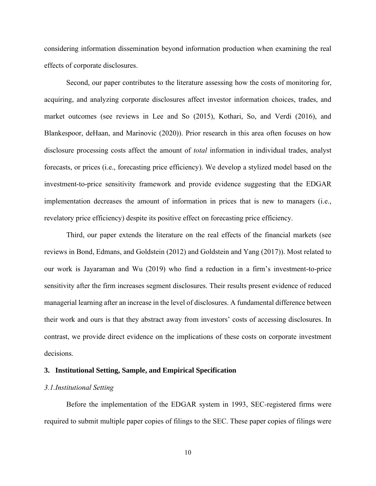considering information dissemination beyond information production when examining the real effects of corporate disclosures.

Second, our paper contributes to the literature assessing how the costs of monitoring for, acquiring, and analyzing corporate disclosures affect investor information choices, trades, and market outcomes (see reviews in Lee and So (2015), Kothari, So, and Verdi (2016), and Blankespoor, deHaan, and Marinovic (2020)). Prior research in this area often focuses on how disclosure processing costs affect the amount of *total* information in individual trades, analyst forecasts, or prices (i.e., forecasting price efficiency). We develop a stylized model based on the investment-to-price sensitivity framework and provide evidence suggesting that the EDGAR implementation decreases the amount of information in prices that is new to managers (i.e., revelatory price efficiency) despite its positive effect on forecasting price efficiency.

Third, our paper extends the literature on the real effects of the financial markets (see reviews in Bond, Edmans, and Goldstein (2012) and Goldstein and Yang (2017)). Most related to our work is Jayaraman and Wu (2019) who find a reduction in a firm's investment-to-price sensitivity after the firm increases segment disclosures. Their results present evidence of reduced managerial learning after an increase in the level of disclosures. A fundamental difference between their work and ours is that they abstract away from investors' costs of accessing disclosures. In contrast, we provide direct evidence on the implications of these costs on corporate investment decisions.

# **3. Institutional Setting, Sample, and Empirical Specification**

# *3.1.Institutional Setting*

Before the implementation of the EDGAR system in 1993, SEC-registered firms were required to submit multiple paper copies of filings to the SEC. These paper copies of filings were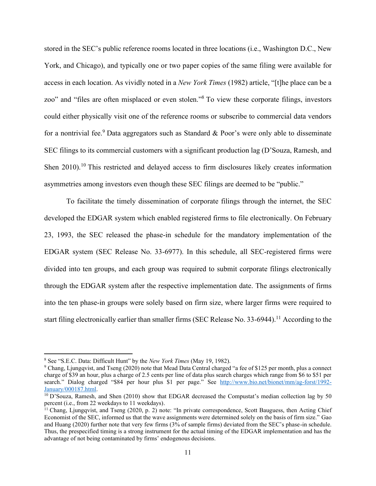stored in the SEC's public reference rooms located in three locations (i.e., Washington D.C., New York, and Chicago), and typically one or two paper copies of the same filing were available for access in each location. As vividly noted in a *New York Times* (1982) article, "[t]he place can be a zoo" and "files are often misplaced or even stolen."<sup>8</sup> To view these corporate filings, investors could either physically visit one of the reference rooms or subscribe to commercial data vendors for a nontrivial fee.<sup>9</sup> Data aggregators such as Standard & Poor's were only able to disseminate SEC filings to its commercial customers with a significant production lag (D'Souza, Ramesh, and Shen 2010).<sup>10</sup> This restricted and delayed access to firm disclosures likely creates information asymmetries among investors even though these SEC filings are deemed to be "public."

To facilitate the timely dissemination of corporate filings through the internet, the SEC developed the EDGAR system which enabled registered firms to file electronically. On February 23, 1993, the SEC released the phase-in schedule for the mandatory implementation of the EDGAR system (SEC Release No. 33-6977). In this schedule, all SEC-registered firms were divided into ten groups, and each group was required to submit corporate filings electronically through the EDGAR system after the respective implementation date. The assignments of firms into the ten phase-in groups were solely based on firm size, where larger firms were required to start filing electronically earlier than smaller firms (SEC Release No. 33-6944).<sup>11</sup> According to the

<sup>8</sup> See "S.E.C. Data: Difficult Hunt" by the *New York Times* (May 19, 1982).

<sup>9</sup> Chang, Ljungqvist, and Tseng (2020) note that Mead Data Central charged "a fee of \$125 per month, plus a connect charge of \$39 an hour, plus a charge of 2.5 cents per line of data plus search charges which range from \$6 to \$51 per search." Dialog charged "\$84 per hour plus \$1 per page." See [http://www.bio.net/bionet/mm/ag-forst/1992-](http://www.bio.net/bionet/mm/ag-forst/1992-January/000187.html) [January/000187.html.](http://www.bio.net/bionet/mm/ag-forst/1992-January/000187.html)

 $10$  D'Souza, Ramesh, and Shen (2010) show that EDGAR decreased the Compustat's median collection lag by 50 percent (i.e., from 22 weekdays to 11 weekdays).

 $11$  Chang, Ljungqvist, and Tseng (2020, p. 2) note: "In private correspondence, Scott Bauguess, then Acting Chief Economist of the SEC, informed us that the wave assignments were determined solely on the basis of firm size." Gao and Huang (2020) further note that very few firms (3% of sample firms) deviated from the SEC's phase-in schedule. Thus, the prespecified timing is a strong instrument for the actual timing of the EDGAR implementation and has the advantage of not being contaminated by firms' endogenous decisions.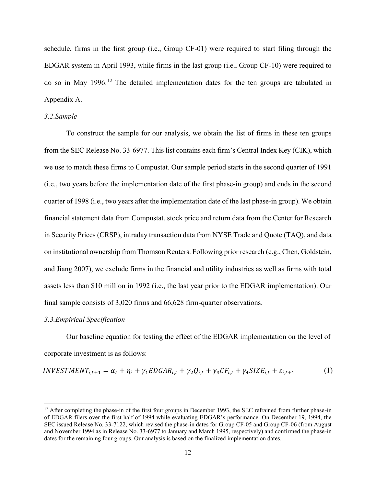schedule, firms in the first group (i.e., Group CF-01) were required to start filing through the EDGAR system in April 1993, while firms in the last group (i.e., Group CF-10) were required to do so in May 1996.<sup>12</sup> The detailed implementation dates for the ten groups are tabulated in Appendix A.

# *3.2.Sample*

To construct the sample for our analysis, we obtain the list of firms in these ten groups from the SEC Release No. 33-6977. This list contains each firm's Central Index Key (CIK), which we use to match these firms to Compustat. Our sample period starts in the second quarter of 1991 (i.e., two years before the implementation date of the first phase-in group) and ends in the second quarter of 1998 (i.e., two years after the implementation date of the last phase-in group). We obtain financial statement data from Compustat, stock price and return data from the Center for Research in Security Prices (CRSP), intraday transaction data from NYSE Trade and Quote (TAQ), and data on institutional ownership from Thomson Reuters. Following prior research (e.g., Chen, Goldstein, and Jiang 2007), we exclude firms in the financial and utility industries as well as firms with total assets less than \$10 million in 1992 (i.e., the last year prior to the EDGAR implementation). Our final sample consists of 3,020 firms and 66,628 firm-quarter observations.

## *3.3.Empirical Specification*

Our baseline equation for testing the effect of the EDGAR implementation on the level of corporate investment is as follows:

$$
INVESTMENT_{i,t+1} = \alpha_t + \eta_i + \gamma_1 EDGAR_{i,t} + \gamma_2 Q_{i,t} + \gamma_3 CF_{i,t} + \gamma_4 SIZE_{i,t} + \varepsilon_{i,t+1}
$$
 (1)

 $12$  After completing the phase-in of the first four groups in December 1993, the SEC refrained from further phase-in of EDGAR filers over the first half of 1994 while evaluating EDGAR's performance. On December 19, 1994, the SEC issued Release No. 33-7122, which revised the phase-in dates for Group CF-05 and Group CF-06 (from August and November 1994 as in Release No. 33-6977 to January and March 1995, respectively) and confirmed the phase-in dates for the remaining four groups. Our analysis is based on the finalized implementation dates.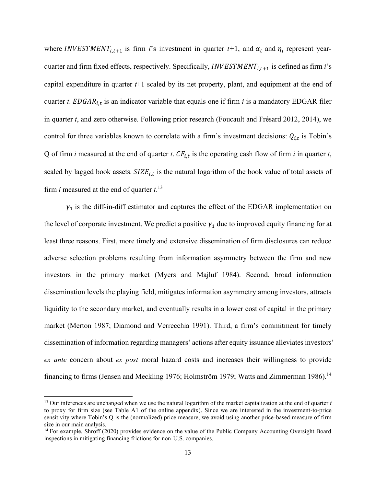where *INVESTMENT*<sub>*i*,*t*+1</sub> is firm *i*'s investment in quarter *t*+1, and  $\alpha_t$  and  $\eta_i$  represent yearquarter and firm fixed effects, respectively. Specifically,  $INVESTMENT_{i,t+1}$  is defined as firm *i*'s capital expenditure in quarter *t*+1 scaled by its net property, plant, and equipment at the end of quarter *t*.  $EDGAR<sub>i,t</sub>$  is an indicator variable that equals one if firm *i* is a mandatory EDGAR filer in quarter *t*, and zero otherwise. Following prior research (Foucault and Frésard 2012, 2014), we control for three variables known to correlate with a firm's investment decisions:  $Q_{i,t}$  is Tobin's Q of firm *i* measured at the end of quarter *t*.  $CF_{i,t}$  is the operating cash flow of firm *i* in quarter *t*, scaled by lagged book assets.  $SIZE_{i,t}$  is the natural logarithm of the book value of total assets of firm *i* measured at the end of quarter *t*. 13

 $\gamma_1$  is the diff-in-diff estimator and captures the effect of the EDGAR implementation on the level of corporate investment. We predict a positive  $\gamma_1$  due to improved equity financing for at least three reasons. First, more timely and extensive dissemination of firm disclosures can reduce adverse selection problems resulting from information asymmetry between the firm and new investors in the primary market (Myers and Majluf 1984). Second, broad information dissemination levels the playing field, mitigates information asymmetry among investors, attracts liquidity to the secondary market, and eventually results in a lower cost of capital in the primary market (Merton 1987; Diamond and Verrecchia 1991). Third, a firm's commitment for timely dissemination of information regarding managers' actions after equity issuance alleviates investors' *ex ante* concern about *ex post* moral hazard costs and increases their willingness to provide financing to firms (Jensen and Meckling 1976; Holmström 1979; Watts and Zimmerman 1986).<sup>14</sup>

<sup>13</sup> Our inferences are unchanged when we use the natural logarithm of the market capitalization at the end of quarter *t* to proxy for firm size (see Table A1 of the online appendix). Since we are interested in the investment-to-price sensitivity where Tobin's Q is the (normalized) price measure, we avoid using another price-based measure of firm size in our main analysis.

<sup>&</sup>lt;sup>14</sup> For example, Shroff (2020) provides evidence on the value of the Public Company Accounting Oversight Board inspections in mitigating financing frictions for non-U.S. companies.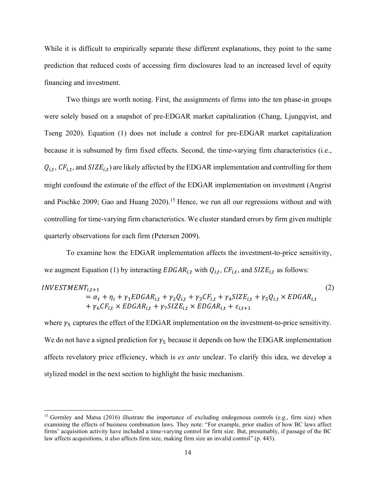While it is difficult to empirically separate these different explanations, they point to the same prediction that reduced costs of accessing firm disclosures lead to an increased level of equity financing and investment.

Two things are worth noting. First, the assignments of firms into the ten phase-in groups were solely based on a snapshot of pre-EDGAR market capitalization (Chang, Ljungqvist, and Tseng 2020). Equation (1) does not include a control for pre-EDGAR market capitalization because it is subsumed by firm fixed effects. Second, the time-varying firm characteristics (i.e.,  $Q_{i,t}$ ,  $CF_{i,t}$ , and  $SIZE_{i,t}$ ) are likely affected by the EDGAR implementation and controlling for them might confound the estimate of the effect of the EDGAR implementation on investment (Angrist and Pischke 2009; Gao and Huang 2020).<sup>15</sup> Hence, we run all our regressions without and with controlling for time-varying firm characteristics. We cluster standard errors by firm given multiple quarterly observations for each firm (Petersen 2009).

To examine how the EDGAR implementation affects the investment-to-price sensitivity, we augment Equation (1) by interacting  $EDGAR_{i,t}$  with  $Q_{i,t}$ ,  $CF_{i,t}$ , and  $SIZE_{i,t}$  as follows:

$$
INVESTMENT_{i,t+1}
$$
  
=  $\alpha_t + \eta_i + \gamma_1 EDGAR_{i,t} + \gamma_2 Q_{i,t} + \gamma_3 CF_{i,t} + \gamma_4 SIZE_{i,t} + \gamma_5 Q_{i,t} \times EDGAR_{i,t} + \gamma_6 CF_{i,t} \times EDGAR_{i,t} + \gamma_7 SIZE_{i,t} \times EDGAR_{i,t} + \varepsilon_{i,t+1}$  (2)

where  $\gamma_5$  captures the effect of the EDGAR implementation on the investment-to-price sensitivity. We do not have a signed prediction for  $\gamma_5$  because it depends on how the EDGAR implementation affects revelatory price efficiency, which is *ex ante* unclear. To clarify this idea, we develop a stylized model in the next section to highlight the basic mechanism.

<sup>&</sup>lt;sup>15</sup> Gormley and Matsa (2016) illustrate the importance of excluding endogenous controls (e.g., firm size) when examining the effects of business combination laws. They note: "For example, prior studies of how BC laws affect firms' acquisition activity have included a time-varying control for firm size. But, presumably, if passage of the BC law affects acquisitions, it also affects firm size, making firm size an invalid control" (p. 443).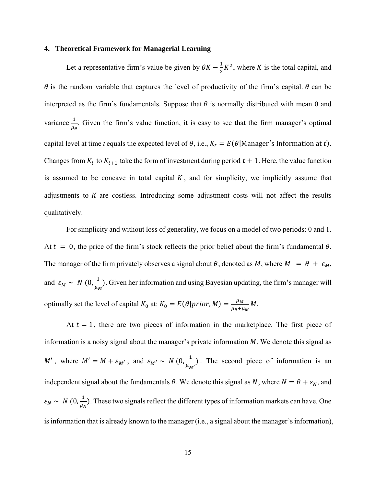## **4. Theoretical Framework for Managerial Learning**

Let a representative firm's value be given by  $\theta K - \frac{1}{3}$  $\frac{1}{2}K^2$ , where K is the total capital, and  $\theta$  is the random variable that captures the level of productivity of the firm's capital.  $\theta$  can be interpreted as the firm's fundamentals. Suppose that  $\theta$  is normally distributed with mean 0 and variance  $\frac{1}{\mu_{\theta}}$ . Given the firm's value function, it is easy to see that the firm manager's optimal capital level at time *t* equals the expected level of  $\theta$ , i.e.,  $K_t = E(\theta | \text{Manager's Information at } t)$ . Changes from  $K_t$  to  $K_{t+1}$  take the form of investment during period  $t + 1$ . Here, the value function is assumed to be concave in total capital  $K$ , and for simplicity, we implicitly assume that adjustments to  $K$  are costless. Introducing some adjustment costs will not affect the results qualitatively.

For simplicity and without loss of generality, we focus on a model of two periods: 0 and 1. At  $t = 0$ , the price of the firm's stock reflects the prior belief about the firm's fundamental  $\theta$ . The manager of the firm privately observes a signal about  $\theta$ , denoted as M, where  $M = \theta + \varepsilon_M$ , and  $\varepsilon_M \sim N(0, \frac{1}{\mu})$  $\frac{1}{\mu_M}$ ). Given her information and using Bayesian updating, the firm's manager will optimally set the level of capital  $K_0$  at:  $K_0 = E(\theta | prior, M) = \frac{\mu_M}{\mu_0 + \mu_0}$  $\frac{\mu_M}{\mu_{\theta}+\mu_M} M.$ 

At  $t = 1$ , there are two pieces of information in the marketplace. The first piece of information is a noisy signal about the manager's private information  $M$ . We denote this signal as M', where  $M' = M + \varepsilon_{M'}$ , and  $\varepsilon_{M'} \sim N(0, \frac{1}{\mu})$  $\frac{1}{\mu_{M'}}$ ). The second piece of information is an independent signal about the fundamentals  $\theta$ . We denote this signal as N, where  $N = \theta + \varepsilon_N$ , and  $\varepsilon_N \sim N(0, \frac{1}{\mu_0})$  $\frac{1}{\mu_N}$ ). These two signals reflect the different types of information markets can have. One is information that is already known to the manager (i.e., a signal about the manager's information),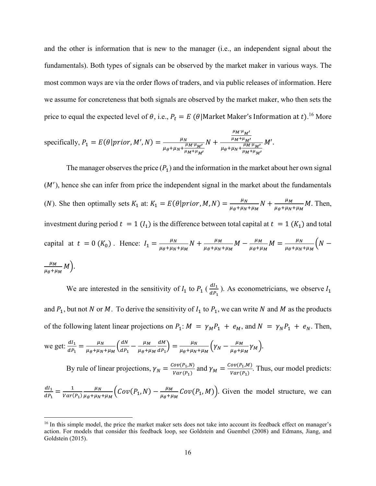and the other is information that is new to the manager (i.e., an independent signal about the fundamentals). Both types of signals can be observed by the market maker in various ways. The most common ways are via the order flows of traders, and via public releases of information. Here we assume for concreteness that both signals are observed by the market maker, who then sets the price to equal the expected level of  $\theta$ , i.e.,  $P_t = E(\theta|\text{Market Master's Information at } t)$ .<sup>16</sup> More

specifically, 
$$
P_1 = E(\theta | prior, M', N) = \frac{\mu_N}{\mu_{\theta} + \mu_N + \frac{\mu_M \mu_{M'}}{\mu_M + \mu_{M'}}} N + \frac{\frac{\mu_{M'} \mu_{M'}}{\mu_M + \mu_{M'}}}{\mu_{\theta} + \mu_N + \frac{\mu_M \mu_{M'}}{\mu_M + \mu_{M'}}} M'.
$$

The manager observes the price  $(P_1)$  and the information in the market about her own signal  $(M')$ , hence she can infer from price the independent signal in the market about the fundamentals (*N*). She then optimally sets  $K_1$  at:  $K_1 = E(\theta | prior, M, N) = \frac{\mu_N}{\mu_S + \mu_N}$  $\frac{\mu_N}{\mu_{\theta} + \mu_N + \mu_M} N + \frac{\mu_M}{\mu_{\theta} + \mu_N}$  $\frac{\mu_M}{\mu_\theta + \mu_N + \mu_M} M$ . Then, investment during period  $t = 1$  ( $I_1$ ) is the difference between total capital at  $t = 1$  ( $K_1$ ) and total capital at  $t = 0$  ( $K_0$ ). Hence:  $I_1 = \frac{\mu_N}{\mu_A + \mu_M}$  $\frac{\mu_N}{\mu_{\theta} + \mu_N + \mu_M} N + \frac{\mu_M}{\mu_{\theta} + \mu_N}$  $\frac{\mu_M}{\mu_\theta + \mu_N + \mu_M} M - \frac{\mu_M}{\mu_\theta + \mu_M}$  $\frac{\mu_M}{\mu_{\theta} + \mu_M} M = \frac{\mu_N}{\mu_{\theta} + \mu_N}$  $\frac{\mu_N}{\mu_{\theta}+\mu_N+\mu_M}$  (N –  $\mu_M$  $\frac{\mu_M}{\mu_{\theta}+\mu_M} M$ ).

We are interested in the sensitivity of  $I_1$  to  $P_1$  ( $\frac{dI_1}{dP_1}$ ). As econometricians, we observe  $I_1$ and  $P_1$ , but not N or M. To derive the sensitivity of  $I_1$  to  $P_1$ , we can write N and M as the products of the following latent linear projections on  $P_1: M = \gamma_M P_1 + e_M$ , and  $N = \gamma_N P_1 + e_N$ . Then, we get:  $\frac{dI_1}{dP_1} = \frac{\mu_N}{\mu_\theta + \mu_N}$  $\frac{\mu_N}{\mu_{\theta} + \mu_N + \mu_M} \left( \frac{dN}{dP_1} \right)$  $\frac{dN}{dP_1} - \frac{\mu_M}{\mu_{\theta} + \mu_{\theta}}$  $\mu_{\theta} + \mu_{M}$  $dM$  $\frac{dM}{dP_1}$  =  $\frac{\mu_N}{\mu_{\theta} + \mu_N}$  $\frac{\mu_N}{\mu_\theta + \mu_N + \mu_M} \Big( \gamma_N - \frac{\mu_M}{\mu_\theta + \mu_M}$  $\frac{\mu_M}{\mu_{\theta} + \mu_M} \gamma_M$ ). By rule of linear projections,  $\gamma_N = \frac{Cov(P_1, N)}{Var(P_1)}$  $\frac{Cov(P_1, N)}{Var(P_1)}$  and  $\gamma_M = \frac{Cov(P_1, M)}{Var(P_1)}$  $\frac{\partial v(t_1, m)}{\partial \alpha r(P_1)}$ . Thus, our model predicts:  $dl_1$  $\frac{dI_1}{dP_1} = \frac{1}{Var(}$  $Var(P_1)$  $\mu_N$  $\frac{\mu_N}{\mu_{\theta} + \mu_N + \mu_M} \Big( Cov(P_1, N) - \frac{\mu_M}{\mu_{\theta} + \mu_M}$  $\frac{\mu_M}{\mu_{\theta} + \mu_M} Cov(P_1, M)$ . Given the model structure, we can

<sup>&</sup>lt;sup>16</sup> In this simple model, the price the market maker sets does not take into account its feedback effect on manager's action. For models that consider this feedback loop, see Goldstein and Guembel (2008) and Edmans, Jiang, and Goldstein (2015).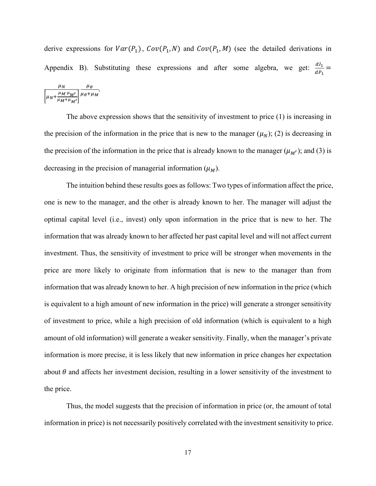derive expressions for  $Var(P_1)$ ,  $Cov(P_1, N)$  and  $Cov(P_1, M)$  (see the detailed derivations in Appendix B). Substituting these expressions and after some algebra, we get:  $\frac{dI_1}{dR}$  $\frac{a_1}{dP_1} =$  $\mathbf{a}$ 

$$
\frac{\mu_N}{\left[\mu_N + \frac{\mu_M \cdot \mu_{M'}}{\mu_M + \mu_{M'}}\right]} \frac{\mu_\theta}{\mu_\theta + \mu_M}.
$$

The above expression shows that the sensitivity of investment to price (1) is increasing in the precision of the information in the price that is new to the manager  $(\mu_N)$ ; (2) is decreasing in the precision of the information in the price that is already known to the manager  $(\mu_{M'})$ ; and (3) is decreasing in the precision of managerial information  $(\mu_M)$ .

The intuition behind these results goes as follows: Two types of information affect the price, one is new to the manager, and the other is already known to her. The manager will adjust the optimal capital level (i.e., invest) only upon information in the price that is new to her. The information that was already known to her affected her past capital level and will not affect current investment. Thus, the sensitivity of investment to price will be stronger when movements in the price are more likely to originate from information that is new to the manager than from information that was already known to her. A high precision of new information in the price (which is equivalent to a high amount of new information in the price) will generate a stronger sensitivity of investment to price, while a high precision of old information (which is equivalent to a high amount of old information) will generate a weaker sensitivity. Finally, when the manager's private information is more precise, it is less likely that new information in price changes her expectation about  $\theta$  and affects her investment decision, resulting in a lower sensitivity of the investment to the price.

Thus, the model suggests that the precision of information in price (or, the amount of total information in price) is not necessarily positively correlated with the investment sensitivity to price.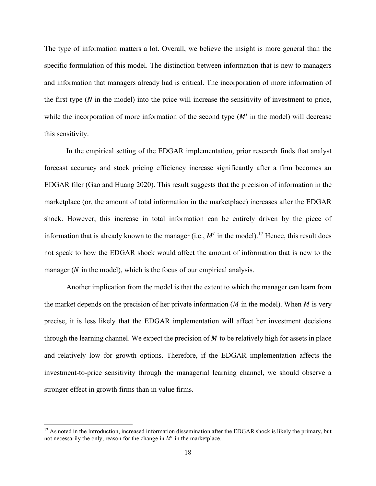The type of information matters a lot. Overall, we believe the insight is more general than the specific formulation of this model. The distinction between information that is new to managers and information that managers already had is critical. The incorporation of more information of the first type  $(N \text{ in the model})$  into the price will increase the sensitivity of investment to price, while the incorporation of more information of the second type  $(M'$  in the model) will decrease this sensitivity.

In the empirical setting of the EDGAR implementation, prior research finds that analyst forecast accuracy and stock pricing efficiency increase significantly after a firm becomes an EDGAR filer (Gao and Huang 2020). This result suggests that the precision of information in the marketplace (or, the amount of total information in the marketplace) increases after the EDGAR shock. However, this increase in total information can be entirely driven by the piece of information that is already known to the manager (i.e.,  $M'$  in the model).<sup>17</sup> Hence, this result does not speak to how the EDGAR shock would affect the amount of information that is new to the manager  $(N$  in the model), which is the focus of our empirical analysis.

Another implication from the model is that the extent to which the manager can learn from the market depends on the precision of her private information  $(M$  in the model). When  $M$  is very precise, it is less likely that the EDGAR implementation will affect her investment decisions through the learning channel. We expect the precision of  $M$  to be relatively high for assets in place and relatively low for growth options. Therefore, if the EDGAR implementation affects the investment-to-price sensitivity through the managerial learning channel, we should observe a stronger effect in growth firms than in value firms.

<sup>&</sup>lt;sup>17</sup> As noted in the Introduction, increased information dissemination after the EDGAR shock is likely the primary, but not necessarily the only, reason for the change in  $M'$  in the marketplace.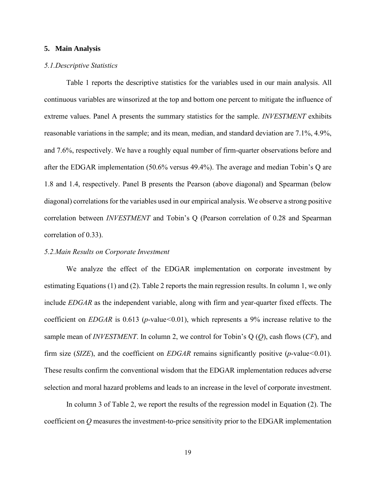#### **5. Main Analysis**

## *5.1.Descriptive Statistics*

Table 1 reports the descriptive statistics for the variables used in our main analysis. All continuous variables are winsorized at the top and bottom one percent to mitigate the influence of extreme values. Panel A presents the summary statistics for the sample. *INVESTMENT* exhibits reasonable variations in the sample; and its mean, median, and standard deviation are 7.1%, 4.9%, and 7.6%, respectively. We have a roughly equal number of firm-quarter observations before and after the EDGAR implementation (50.6% versus 49.4%). The average and median Tobin's Q are 1.8 and 1.4, respectively. Panel B presents the Pearson (above diagonal) and Spearman (below diagonal) correlations for the variables used in our empirical analysis. We observe a strong positive correlation between *INVESTMENT* and Tobin's Q (Pearson correlation of 0.28 and Spearman correlation of 0.33).

## *5.2.Main Results on Corporate Investment*

We analyze the effect of the EDGAR implementation on corporate investment by estimating Equations (1) and (2). Table 2 reports the main regression results. In column 1, we only include *EDGAR* as the independent variable, along with firm and year-quarter fixed effects. The coefficient on *EDGAR* is 0.613 (*p*-value*<*0.01), which represents a 9% increase relative to the sample mean of *INVESTMENT*. In column 2, we control for Tobin's Q (*Q*), cash flows (*CF*), and firm size (*SIZE*), and the coefficient on *EDGAR* remains significantly positive (*p*-value*<*0.01). These results confirm the conventional wisdom that the EDGAR implementation reduces adverse selection and moral hazard problems and leads to an increase in the level of corporate investment.

In column 3 of Table 2, we report the results of the regression model in Equation (2). The coefficient on *Q* measures the investment-to-price sensitivity prior to the EDGAR implementation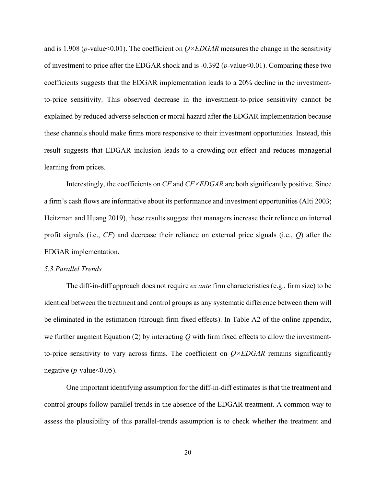and is 1.908 (*p*-value<0.01). The coefficient on  $Q \times EDGAR$  measures the change in the sensitivity of investment to price after the EDGAR shock and is -0.392 (*p*-value<0.01). Comparing these two coefficients suggests that the EDGAR implementation leads to a 20% decline in the investmentto-price sensitivity. This observed decrease in the investment-to-price sensitivity cannot be explained by reduced adverse selection or moral hazard after the EDGAR implementation because these channels should make firms more responsive to their investment opportunities. Instead, this result suggests that EDGAR inclusion leads to a crowding-out effect and reduces managerial learning from prices.

Interestingly, the coefficients on *CF* and *CF×EDGAR* are both significantly positive. Since a firm's cash flows are informative about its performance and investment opportunities (Alti 2003; Heitzman and Huang 2019), these results suggest that managers increase their reliance on internal profit signals (i.e., *CF*) and decrease their reliance on external price signals (i.e., *Q*) after the EDGAR implementation.

## *5.3.Parallel Trends*

The diff-in-diff approach does not require *ex ante* firm characteristics (e.g., firm size) to be identical between the treatment and control groups as any systematic difference between them will be eliminated in the estimation (through firm fixed effects). In Table A2 of the online appendix, we further augment Equation (2) by interacting *Q* with firm fixed effects to allow the investmentto-price sensitivity to vary across firms. The coefficient on *Q×EDGAR* remains significantly negative ( $p$ -value  $< 0.05$ ).

One important identifying assumption for the diff-in-diff estimates is that the treatment and control groups follow parallel trends in the absence of the EDGAR treatment. A common way to assess the plausibility of this parallel-trends assumption is to check whether the treatment and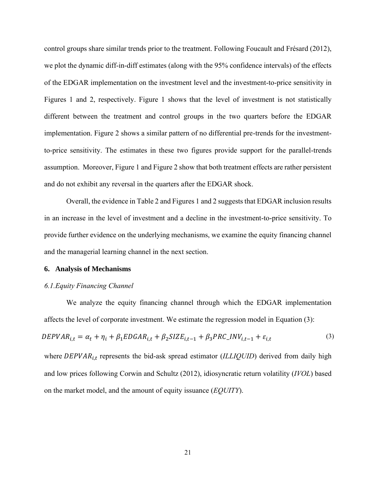control groups share similar trends prior to the treatment. Following Foucault and Frésard (2012), we plot the dynamic diff-in-diff estimates (along with the 95% confidence intervals) of the effects of the EDGAR implementation on the investment level and the investment-to-price sensitivity in Figures 1 and 2, respectively. Figure 1 shows that the level of investment is not statistically different between the treatment and control groups in the two quarters before the EDGAR implementation. Figure 2 shows a similar pattern of no differential pre-trends for the investmentto-price sensitivity. The estimates in these two figures provide support for the parallel-trends assumption. Moreover, Figure 1 and Figure 2 show that both treatment effects are rather persistent and do not exhibit any reversal in the quarters after the EDGAR shock.

Overall, the evidence in Table 2 and Figures 1 and 2 suggests that EDGAR inclusion results in an increase in the level of investment and a decline in the investment-to-price sensitivity. To provide further evidence on the underlying mechanisms, we examine the equity financing channel and the managerial learning channel in the next section.

#### **6. Analysis of Mechanisms**

#### *6.1.Equity Financing Channel*

We analyze the equity financing channel through which the EDGAR implementation affects the level of corporate investment. We estimate the regression model in Equation (3):

$$
DEPVAR_{i,t} = \alpha_t + \eta_i + \beta_1 EDGAR_{i,t} + \beta_2 SIZE_{i,t-1} + \beta_3 PRC\_INV_{i,t-1} + \varepsilon_{i,t}
$$
\n
$$
\tag{3}
$$

where DEPVAR<sub>i,t</sub> represents the bid-ask spread estimator (*ILLIQUID*) derived from daily high and low prices following Corwin and Schultz (2012), idiosyncratic return volatility (*IVOL*) based on the market model, and the amount of equity issuance (*EQUITY*).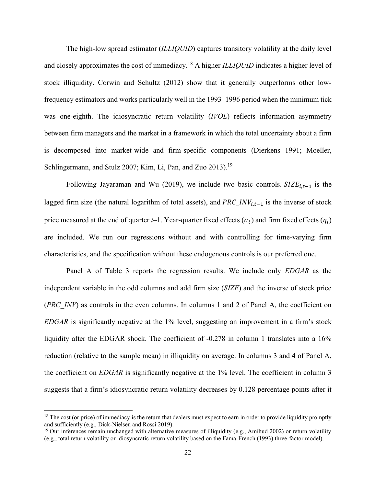The high-low spread estimator (*ILLIQUID*) captures transitory volatility at the daily level and closely approximates the cost of immediacy.<sup>18</sup> A higher *ILLIQUID* indicates a higher level of stock illiquidity. Corwin and Schultz (2012) show that it generally outperforms other lowfrequency estimators and works particularly well in the 1993–1996 period when the minimum tick was one-eighth. The idiosyncratic return volatility (*IVOL*) reflects information asymmetry between firm managers and the market in a framework in which the total uncertainty about a firm is decomposed into market-wide and firm-specific components (Dierkens 1991; Moeller, Schlingermann, and Stulz 2007; Kim, Li, Pan, and Zuo 2013).<sup>19</sup>

Following Jayaraman and Wu (2019), we include two basic controls.  $SIZE_{i,t-1}$  is the lagged firm size (the natural logarithm of total assets), and  $PRC_1NV_{i,t-1}$  is the inverse of stock price measured at the end of quarter *t*–1. Year-quarter fixed effects  $(\alpha_t)$  and firm fixed effects  $(\eta_i)$ are included. We run our regressions without and with controlling for time-varying firm characteristics, and the specification without these endogenous controls is our preferred one.

Panel A of Table 3 reports the regression results. We include only *EDGAR* as the independent variable in the odd columns and add firm size (*SIZE*) and the inverse of stock price (*PRC\_INV*) as controls in the even columns. In columns 1 and 2 of Panel A, the coefficient on *EDGAR* is significantly negative at the 1% level, suggesting an improvement in a firm's stock liquidity after the EDGAR shock. The coefficient of -0.278 in column 1 translates into a 16% reduction (relative to the sample mean) in illiquidity on average. In columns 3 and 4 of Panel A, the coefficient on *EDGAR* is significantly negative at the 1% level. The coefficient in column 3 suggests that a firm's idiosyncratic return volatility decreases by 0.128 percentage points after it

 $18$  The cost (or price) of immediacy is the return that dealers must expect to earn in order to provide liquidity promptly and sufficiently (e.g., Dick-Nielsen and Rossi 2019).

 $19$  Our inferences remain unchanged with alternative measures of illiquidity (e.g., Amihud 2002) or return volatility (e.g., total return volatility or idiosyncratic return volatility based on the Fama-French (1993) three-factor model).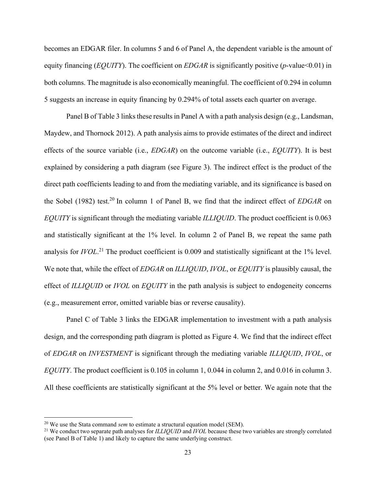becomes an EDGAR filer. In columns 5 and 6 of Panel A, the dependent variable is the amount of equity financing (*EQUITY*). The coefficient on *EDGAR* is significantly positive (*p*-value<0.01) in both columns. The magnitude is also economically meaningful. The coefficient of 0.294 in column 5 suggests an increase in equity financing by 0.294% of total assets each quarter on average.

Panel B of Table 3 links these results in Panel A with a path analysis design (e.g., Landsman, Maydew, and Thornock 2012). A path analysis aims to provide estimates of the direct and indirect effects of the source variable (i.e., *EDGAR*) on the outcome variable (i.e., *EQUITY*). It is best explained by considering a path diagram (see Figure 3). The indirect effect is the product of the direct path coefficients leading to and from the mediating variable, and its significance is based on the Sobel (1982) test.<sup>20</sup> In column 1 of Panel B, we find that the indirect effect of *EDGAR* on *EQUITY* is significant through the mediating variable *ILLIQUID*. The product coefficient is 0.063 and statistically significant at the 1% level. In column 2 of Panel B, we repeat the same path analysis for *IVOL*. <sup>21</sup> The product coefficient is 0.009 and statistically significant at the 1% level. We note that, while the effect of *EDGAR* on *ILLIQUID*, *IVOL*, or *EQUITY* is plausibly causal, the effect of *ILLIQUID* or *IVOL* on *EQUITY* in the path analysis is subject to endogeneity concerns (e.g., measurement error, omitted variable bias or reverse causality).

Panel C of Table 3 links the EDGAR implementation to investment with a path analysis design, and the corresponding path diagram is plotted as Figure 4. We find that the indirect effect of *EDGAR* on *INVESTMENT* is significant through the mediating variable *ILLIQUID*, *IVOL*, or *EQUITY*. The product coefficient is 0.105 in column 1, 0.044 in column 2, and 0.016 in column 3. All these coefficients are statistically significant at the 5% level or better. We again note that the

<sup>&</sup>lt;sup>20</sup> We use the Stata command *sem* to estimate a structural equation model (SEM).

<sup>21</sup> We conduct two separate path analyses for *ILLIQUID* and *IVOL* because these two variables are strongly correlated (see Panel B of Table 1) and likely to capture the same underlying construct.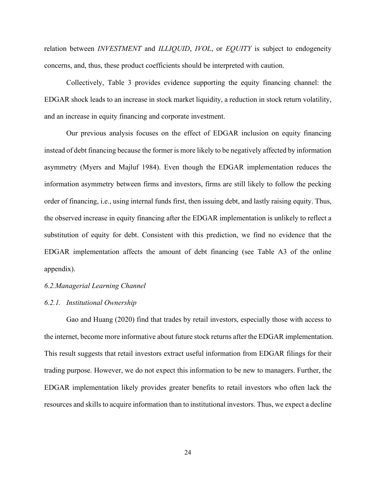relation between *INVESTMENT* and *ILLIQUID*, *IVOL*, or *EQUITY* is subject to endogeneity concerns, and, thus, these product coefficients should be interpreted with caution.

Collectively, Table 3 provides evidence supporting the equity financing channel: the EDGAR shock leads to an increase in stock market liquidity, a reduction in stock return volatility, and an increase in equity financing and corporate investment.

Our previous analysis focuses on the effect of EDGAR inclusion on equity financing instead of debt financing because the former is more likely to be negatively affected by information asymmetry (Myers and Majluf 1984). Even though the EDGAR implementation reduces the information asymmetry between firms and investors, firms are still likely to follow the pecking order of financing, i.e., using internal funds first, then issuing debt, and lastly raising equity. Thus, the observed increase in equity financing after the EDGAR implementation is unlikely to reflect a substitution of equity for debt. Consistent with this prediction, we find no evidence that the EDGAR implementation affects the amount of debt financing (see Table A3 of the online appendix).

#### *6.2.Managerial Learning Channel*

#### *6.2.1. Institutional Ownership*

Gao and Huang (2020) find that trades by retail investors, especially those with access to the internet, become more informative about future stock returns after the EDGAR implementation. This result suggests that retail investors extract useful information from EDGAR filings for their trading purpose. However, we do not expect this information to be new to managers. Further, the EDGAR implementation likely provides greater benefits to retail investors who often lack the resources and skills to acquire information than to institutional investors. Thus, we expect a decline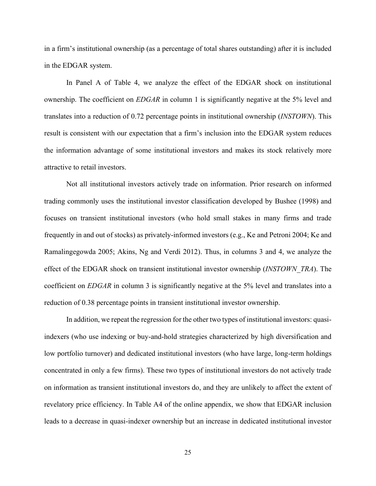in a firm's institutional ownership (as a percentage of total shares outstanding) after it is included in the EDGAR system.

In Panel A of Table 4, we analyze the effect of the EDGAR shock on institutional ownership. The coefficient on *EDGAR* in column 1 is significantly negative at the 5% level and translates into a reduction of 0.72 percentage points in institutional ownership (*INSTOWN*). This result is consistent with our expectation that a firm's inclusion into the EDGAR system reduces the information advantage of some institutional investors and makes its stock relatively more attractive to retail investors.

Not all institutional investors actively trade on information. Prior research on informed trading commonly uses the institutional investor classification developed by Bushee (1998) and focuses on transient institutional investors (who hold small stakes in many firms and trade frequently in and out of stocks) as privately-informed investors (e.g., Ke and Petroni 2004; Ke and Ramalingegowda 2005; Akins, Ng and Verdi 2012). Thus, in columns 3 and 4, we analyze the effect of the EDGAR shock on transient institutional investor ownership (*INSTOWN\_TRA*). The coefficient on *EDGAR* in column 3 is significantly negative at the 5% level and translates into a reduction of 0.38 percentage points in transient institutional investor ownership.

In addition, we repeat the regression for the other two types of institutional investors: quasiindexers (who use indexing or buy-and-hold strategies characterized by high diversification and low portfolio turnover) and dedicated institutional investors (who have large, long-term holdings concentrated in only a few firms). These two types of institutional investors do not actively trade on information as transient institutional investors do, and they are unlikely to affect the extent of revelatory price efficiency. In Table A4 of the online appendix, we show that EDGAR inclusion leads to a decrease in quasi-indexer ownership but an increase in dedicated institutional investor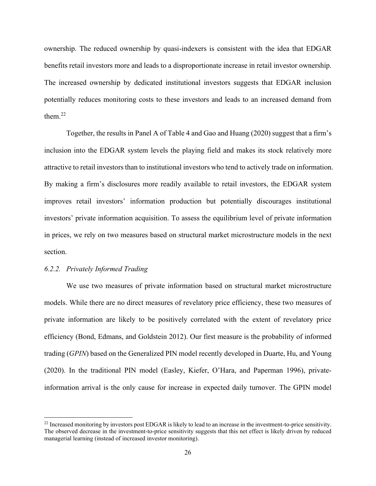ownership. The reduced ownership by quasi-indexers is consistent with the idea that EDGAR benefits retail investors more and leads to a disproportionate increase in retail investor ownership. The increased ownership by dedicated institutional investors suggests that EDGAR inclusion potentially reduces monitoring costs to these investors and leads to an increased demand from them. $^{22}$ 

Together, the results in Panel A of Table 4 and Gao and Huang (2020) suggest that a firm's inclusion into the EDGAR system levels the playing field and makes its stock relatively more attractive to retail investors than to institutional investors who tend to actively trade on information. By making a firm's disclosures more readily available to retail investors, the EDGAR system improves retail investors' information production but potentially discourages institutional investors' private information acquisition. To assess the equilibrium level of private information in prices, we rely on two measures based on structural market microstructure models in the next section.

## *6.2.2. Privately Informed Trading*

We use two measures of private information based on structural market microstructure models. While there are no direct measures of revelatory price efficiency, these two measures of private information are likely to be positively correlated with the extent of revelatory price efficiency (Bond, Edmans, and Goldstein 2012). Our first measure is the probability of informed trading (*GPIN*) based on the Generalized PIN model recently developed in Duarte, Hu, and Young (2020). In the traditional PIN model (Easley, Kiefer, O'Hara, and Paperman 1996), privateinformation arrival is the only cause for increase in expected daily turnover. The GPIN model

<sup>&</sup>lt;sup>22</sup> Increased monitoring by investors post EDGAR is likely to lead to an increase in the investment-to-price sensitivity. The observed decrease in the investment-to-price sensitivity suggests that this net effect is likely driven by reduced managerial learning (instead of increased investor monitoring).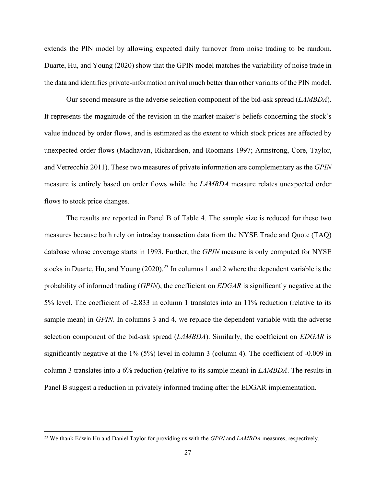extends the PIN model by allowing expected daily turnover from noise trading to be random. Duarte, Hu, and Young (2020) show that the GPIN model matches the variability of noise trade in the data and identifies private-information arrival much better than other variants of the PIN model.

Our second measure is the adverse selection component of the bid-ask spread (*LAMBDA*). It represents the magnitude of the revision in the market-maker's beliefs concerning the stock's value induced by order flows, and is estimated as the extent to which stock prices are affected by unexpected order flows (Madhavan, Richardson, and Roomans 1997; Armstrong, Core, Taylor, and Verrecchia 2011). These two measures of private information are complementary as the *GPIN* measure is entirely based on order flows while the *LAMBDA* measure relates unexpected order flows to stock price changes.

The results are reported in Panel B of Table 4. The sample size is reduced for these two measures because both rely on intraday transaction data from the NYSE Trade and Quote (TAQ) database whose coverage starts in 1993. Further, the *GPIN* measure is only computed for NYSE stocks in Duarte, Hu, and Young (2020).<sup>23</sup> In columns 1 and 2 where the dependent variable is the probability of informed trading (*GPIN*), the coefficient on *EDGAR* is significantly negative at the 5% level. The coefficient of -2.833 in column 1 translates into an 11% reduction (relative to its sample mean) in *GPIN*. In columns 3 and 4, we replace the dependent variable with the adverse selection component of the bid-ask spread (*LAMBDA*). Similarly, the coefficient on *EDGAR* is significantly negative at the 1% (5%) level in column 3 (column 4). The coefficient of -0.009 in column 3 translates into a 6% reduction (relative to its sample mean) in *LAMBDA*. The results in Panel B suggest a reduction in privately informed trading after the EDGAR implementation.

<sup>23</sup> We thank Edwin Hu and Daniel Taylor for providing us with the *GPIN* and *LAMBDA* measures, respectively.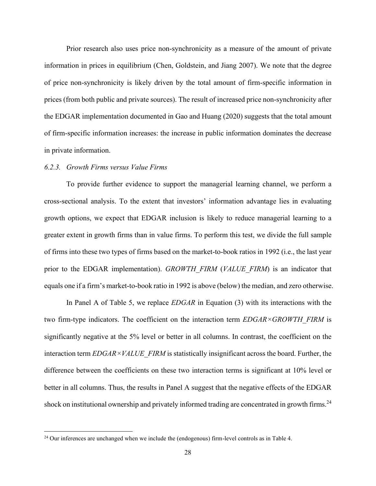Prior research also uses price non-synchronicity as a measure of the amount of private information in prices in equilibrium (Chen, Goldstein, and Jiang 2007). We note that the degree of price non-synchronicity is likely driven by the total amount of firm-specific information in prices (from both public and private sources). The result of increased price non-synchronicity after the EDGAR implementation documented in Gao and Huang (2020) suggests that the total amount of firm-specific information increases: the increase in public information dominates the decrease in private information.

## *6.2.3. Growth Firms versus Value Firms*

To provide further evidence to support the managerial learning channel, we perform a cross-sectional analysis. To the extent that investors' information advantage lies in evaluating growth options, we expect that EDGAR inclusion is likely to reduce managerial learning to a greater extent in growth firms than in value firms. To perform this test, we divide the full sample of firms into these two types of firms based on the market-to-book ratios in 1992 (i.e., the last year prior to the EDGAR implementation). *GROWTH\_FIRM* (*VALUE\_FIRM*) is an indicator that equals one if a firm's market-to-book ratio in 1992 is above (below) the median, and zero otherwise.

In Panel A of Table 5, we replace *EDGAR* in Equation (3) with its interactions with the two firm-type indicators. The coefficient on the interaction term *EDGAR*×*GROWTH\_FIRM* is significantly negative at the 5% level or better in all columns. In contrast, the coefficient on the interaction term *EDGAR×VALUE\_FIRM* is statistically insignificant across the board. Further, the difference between the coefficients on these two interaction terms is significant at 10% level or better in all columns. Thus, the results in Panel A suggest that the negative effects of the EDGAR shock on institutional ownership and privately informed trading are concentrated in growth firms.<sup>24</sup>

<sup>&</sup>lt;sup>24</sup> Our inferences are unchanged when we include the (endogenous) firm-level controls as in Table 4.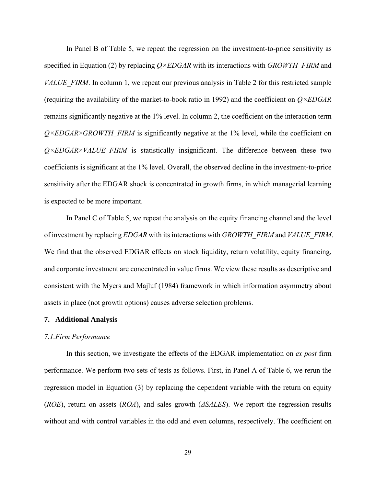In Panel B of Table 5, we repeat the regression on the investment-to-price sensitivity as specified in Equation (2) by replacing *Q×EDGAR* with its interactions with *GROWTH\_FIRM* and *VALUE\_FIRM*. In column 1, we repeat our previous analysis in Table 2 for this restricted sample (requiring the availability of the market-to-book ratio in 1992) and the coefficient on *Q×EDGAR* remains significantly negative at the 1% level. In column 2, the coefficient on the interaction term *Q×EDGAR×GROWTH\_FIRM* is significantly negative at the 1% level, while the coefficient on  $Q\times EDGAR\times VALUE$  FIRM is statistically insignificant. The difference between these two coefficients is significant at the 1% level. Overall, the observed decline in the investment-to-price sensitivity after the EDGAR shock is concentrated in growth firms, in which managerial learning is expected to be more important.

In Panel C of Table 5, we repeat the analysis on the equity financing channel and the level of investment by replacing *EDGAR* with its interactions with *GROWTH\_FIRM* and *VALUE\_FIRM*. We find that the observed EDGAR effects on stock liquidity, return volatility, equity financing, and corporate investment are concentrated in value firms. We view these results as descriptive and consistent with the Myers and Majluf (1984) framework in which information asymmetry about assets in place (not growth options) causes adverse selection problems.

## **7. Additional Analysis**

#### *7.1.Firm Performance*

In this section, we investigate the effects of the EDGAR implementation on *ex post* firm performance. We perform two sets of tests as follows. First, in Panel A of Table 6, we rerun the regression model in Equation (3) by replacing the dependent variable with the return on equity (*ROE*), return on assets (*ROA*), and sales growth (*ΔSALES*). We report the regression results without and with control variables in the odd and even columns, respectively. The coefficient on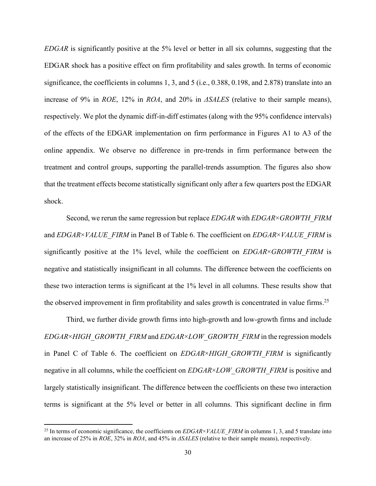*EDGAR* is significantly positive at the 5% level or better in all six columns, suggesting that the EDGAR shock has a positive effect on firm profitability and sales growth. In terms of economic significance, the coefficients in columns 1, 3, and 5 (i.e., 0.388, 0.198, and 2.878) translate into an increase of 9% in *ROE*, 12% in *ROA*, and 20% in *ΔSALES* (relative to their sample means), respectively. We plot the dynamic diff-in-diff estimates (along with the 95% confidence intervals) of the effects of the EDGAR implementation on firm performance in Figures A1 to A3 of the online appendix. We observe no difference in pre-trends in firm performance between the treatment and control groups, supporting the parallel-trends assumption. The figures also show that the treatment effects become statistically significant only after a few quarters post the EDGAR shock.

Second, we rerun the same regression but replace *EDGAR* with *EDGAR*×*GROWTH\_FIRM* and *EDGAR*×*VALUE\_FIRM* in Panel B of Table 6. The coefficient on *EDGAR*×*VALUE\_FIRM* is significantly positive at the 1% level, while the coefficient on *EDGAR*×*GROWTH\_FIRM* is negative and statistically insignificant in all columns. The difference between the coefficients on these two interaction terms is significant at the 1% level in all columns. These results show that the observed improvement in firm profitability and sales growth is concentrated in value firms.<sup>25</sup>

Third, we further divide growth firms into high-growth and low-growth firms and include *EDGAR*×*HIGH\_GROWTH\_FIRM* and *EDGAR*×*LOW\_GROWTH\_FIRM* in the regression models in Panel C of Table 6. The coefficient on *EDGAR*×*HIGH\_GROWTH\_FIRM* is significantly negative in all columns, while the coefficient on *EDGAR*×*LOW\_GROWTH\_FIRM* is positive and largely statistically insignificant. The difference between the coefficients on these two interaction terms is significant at the 5% level or better in all columns. This significant decline in firm

<sup>&</sup>lt;sup>25</sup> In terms of economic significance, the coefficients on *EDGAR*×*VALUE\_FIRM* in columns 1, 3, and 5 translate into an increase of 25% in *ROE*, 32% in *ROA*, and 45% in *ΔSALES* (relative to their sample means), respectively.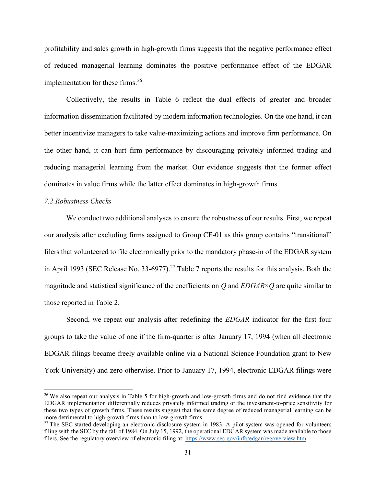profitability and sales growth in high-growth firms suggests that the negative performance effect of reduced managerial learning dominates the positive performance effect of the EDGAR implementation for these firms.<sup>26</sup>

Collectively, the results in Table 6 reflect the dual effects of greater and broader information dissemination facilitated by modern information technologies. On the one hand, it can better incentivize managers to take value-maximizing actions and improve firm performance. On the other hand, it can hurt firm performance by discouraging privately informed trading and reducing managerial learning from the market. Our evidence suggests that the former effect dominates in value firms while the latter effect dominates in high-growth firms.

# *7.2.Robustness Checks*

We conduct two additional analyses to ensure the robustness of our results. First, we repeat our analysis after excluding firms assigned to Group CF-01 as this group contains "transitional" filers that volunteered to file electronically prior to the mandatory phase-in of the EDGAR system in April 1993 (SEC Release No. 33-6977).<sup>27</sup> Table 7 reports the results for this analysis. Both the magnitude and statistical significance of the coefficients on *Q* and *EDGAR*×*Q* are quite similar to those reported in Table 2.

Second, we repeat our analysis after redefining the *EDGAR* indicator for the first four groups to take the value of one if the firm-quarter is after January 17, 1994 (when all electronic EDGAR filings became freely available online via a National Science Foundation grant to New York University) and zero otherwise. Prior to January 17, 1994, electronic EDGAR filings were

<sup>&</sup>lt;sup>26</sup> We also repeat our analysis in Table 5 for high-growth and low-growth firms and do not find evidence that the EDGAR implementation differentially reduces privately informed trading or the investment-to-price sensitivity for these two types of growth firms. These results suggest that the same degree of reduced managerial learning can be more detrimental to high-growth firms than to low-growth firms.

<sup>&</sup>lt;sup>27</sup> The SEC started developing an electronic disclosure system in 1983. A pilot system was opened for volunteers filing with the SEC by the fall of 1984. On July 15, 1992, the operational EDGAR system was made available to those filers. See the regulatory overview of electronic filing at: [https://www.sec.gov/info/edgar/regoverview.htm.](https://www.sec.gov/info/edgar/regoverview.htm)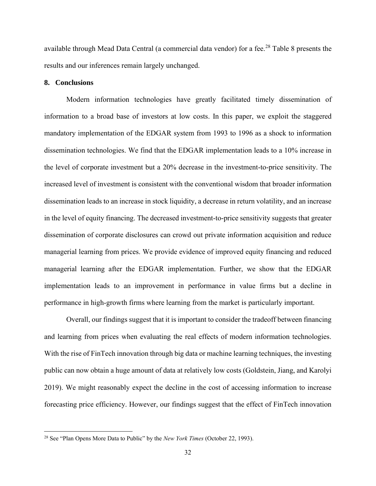available through Mead Data Central (a commercial data vendor) for a fee.<sup>28</sup> Table 8 presents the results and our inferences remain largely unchanged.

# **8. Conclusions**

Modern information technologies have greatly facilitated timely dissemination of information to a broad base of investors at low costs. In this paper, we exploit the staggered mandatory implementation of the EDGAR system from 1993 to 1996 as a shock to information dissemination technologies. We find that the EDGAR implementation leads to a 10% increase in the level of corporate investment but a 20% decrease in the investment-to-price sensitivity. The increased level of investment is consistent with the conventional wisdom that broader information dissemination leads to an increase in stock liquidity, a decrease in return volatility, and an increase in the level of equity financing. The decreased investment-to-price sensitivity suggests that greater dissemination of corporate disclosures can crowd out private information acquisition and reduce managerial learning from prices. We provide evidence of improved equity financing and reduced managerial learning after the EDGAR implementation. Further, we show that the EDGAR implementation leads to an improvement in performance in value firms but a decline in performance in high-growth firms where learning from the market is particularly important.

Overall, our findings suggest that it is important to consider the tradeoff between financing and learning from prices when evaluating the real effects of modern information technologies. With the rise of FinTech innovation through big data or machine learning techniques, the investing public can now obtain a huge amount of data at relatively low costs (Goldstein, Jiang, and Karolyi 2019). We might reasonably expect the decline in the cost of accessing information to increase forecasting price efficiency. However, our findings suggest that the effect of FinTech innovation

<sup>28</sup> See "Plan Opens More Data to Public" by the *New York Times* (October 22, 1993).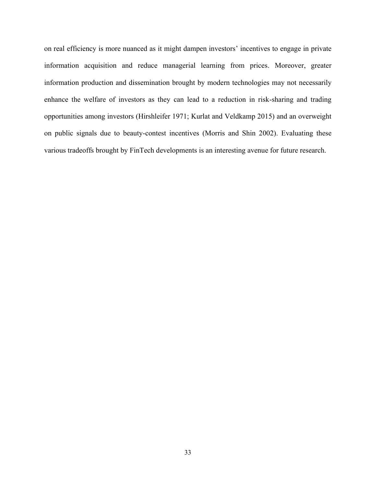on real efficiency is more nuanced as it might dampen investors' incentives to engage in private information acquisition and reduce managerial learning from prices. Moreover, greater information production and dissemination brought by modern technologies may not necessarily enhance the welfare of investors as they can lead to a reduction in risk-sharing and trading opportunities among investors (Hirshleifer 1971; Kurlat and Veldkamp 2015) and an overweight on public signals due to beauty-contest incentives (Morris and Shin 2002). Evaluating these various tradeoffs brought by FinTech developments is an interesting avenue for future research.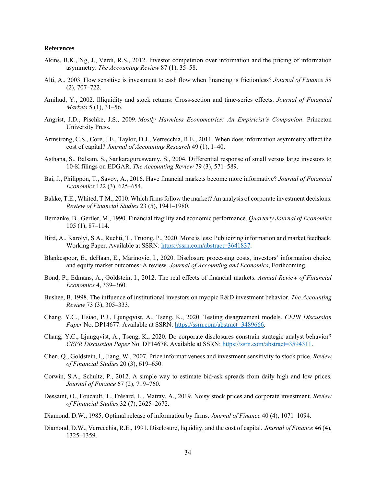#### **References**

- Akins, B.K., Ng, J., Verdi, R.S., 2012. Investor competition over information and the pricing of information asymmetry. *The Accounting Review* 87 (1), 35–58.
- Alti, A., 2003. How sensitive is investment to cash flow when financing is frictionless? *Journal of Finance* 58 (2), 707–722.
- Amihud, Y., 2002. Illiquidity and stock returns: Cross-section and time-series effects. *Journal of Financial Markets* 5 (1), 31–56.
- Angrist, J.D., Pischke, J.S., 2009. *Mostly Harmless Econometrics: An Empiricist's Companion*. Princeton University Press.
- Armstrong, C.S., Core, J.E., Taylor, D.J., Verrecchia, R.E., 2011. When does information asymmetry affect the cost of capital? *Journal of Accounting Research* 49 (1), 1–40.
- Asthana, S., Balsam, S., Sankaraguruswamy, S., 2004. Differential response of small versus large investors to 10‐K filings on EDGAR. *The Accounting Review* 79 (3), 571–589.
- Bai, J., Philippon, T., Savov, A., 2016. Have financial markets become more informative? *Journal of Financial Economics* 122 (3), 625–654.
- Bakke, T.E., Whited, T.M., 2010. Which firms follow the market? An analysis of corporate investment decisions. *Review of Financial Studies* 23 (5), 1941–1980.
- Bernanke, B., Gertler, M., 1990. Financial fragility and economic performance. *Quarterly Journal of Economics*  105 (1), 87–114.
- Bird, A., Karolyi, S.A., Ruchti, T., Truong, P., 2020. More is less: Publicizing information and market feedback. Working Paper. Available at SSRN[: https://ssrn.com/abstract=3641837.](https://ssrn.com/abstract=3641837)
- Blankespoor, E., deHaan, E., Marinovic, I., 2020. Disclosure processing costs, investors' information choice, and equity market outcomes: A review. *Journal of Accounting and Economics*, Forthcoming.
- Bond, P., Edmans, A., Goldstein, I., 2012. The real effects of financial markets. *Annual Review of Financial Economics* 4, 339–360.
- Bushee, B. 1998. The influence of institutional investors on myopic R&D investment behavior. *The Accounting Review* 73 (3), 305–333.
- Chang, Y.C., Hsiao, P.J., Ljungqvist, A., Tseng, K., 2020. Testing disagreement models. *CEPR Discussion*  Paper No. DP14677. Available at SSRN[: https://ssrn.com/abstract=3489666.](https://ssrn.com/abstract=3489666)
- Chang, Y.C., Ljungqvist, A., Tseng, K., 2020. Do corporate disclosures constrain strategic analyst behavior? *CEPR Discussion Paper* No. DP14678. Available at SSRN: [https://ssrn.com/abstract=3594311.](https://ssrn.com/abstract=3594311)
- Chen, Q., Goldstein, I., Jiang, W., 2007. Price informativeness and investment sensitivity to stock price. *Review of Financial Studies* 20 (3), 619–650.
- Corwin, S.A., Schultz, P., 2012. A simple way to estimate bid‐ask spreads from daily high and low prices. *Journal of Finance* 67 (2), 719–760.
- Dessaint, O., Foucault, T., Frésard, L., Matray, A., 2019. Noisy stock prices and corporate investment. *Review of Financial Studies* 32 (7), 2625–2672.
- Diamond, D.W., 1985. Optimal release of information by firms. *Journal of Finance* 40 (4), 1071–1094.
- Diamond, D.W., Verrecchia, R.E., 1991. Disclosure, liquidity, and the cost of capital. *Journal of Finance* 46 (4), 1325–1359.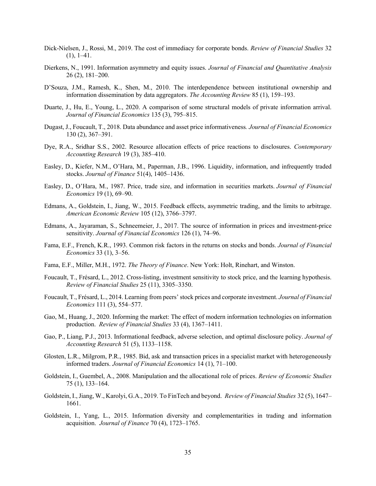- Dick-Nielsen, J., Rossi, M., 2019. The cost of immediacy for corporate bonds. *Review of Financial Studies* 32  $(1), 1-41.$
- Dierkens, N., 1991. Information asymmetry and equity issues. *Journal of Financial and Quantitative Analysis* 26 (2), 181–200.
- D'Souza, J.M., Ramesh, K., Shen, M., 2010. The interdependence between institutional ownership and information dissemination by data aggregators. *The Accounting Review* 85 (1), 159–193.
- Duarte, J., Hu, E., Young, L., 2020. A comparison of some structural models of private information arrival. *Journal of Financial Economics* 135 (3), 795–815.
- Dugast, J., Foucault, T., 2018. Data abundance and asset price informativeness*. Journal of Financial Economics* 130 (2), 367–391.
- Dye, R.A., Sridhar S.S., 2002. Resource allocation effects of price reactions to disclosures. *Contemporary Accounting Research* 19 (3), 385–410.
- Easley, D., Kiefer, N.M., O'Hara, M., Paperman, J.B., 1996. Liquidity, information, and infrequently traded stocks. *Journal of Finance* 51(4), 1405–1436.
- Easley, D., O'Hara, M., 1987. Price, trade size, and information in securities markets. *Journal of Financial Economics* 19 (1), 69–90.
- Edmans, A., Goldstein, I., Jiang, W., 2015. Feedback effects, asymmetric trading, and the limits to arbitrage. *American Economic Review* 105 (12), 3766–3797.
- Edmans, A., Jayaraman, S., Schneemeier, J., 2017. The source of information in prices and investment-price sensitivity. *Journal of Financial Economics* 126 (1), 74–96.
- Fama, E.F., French, K.R., 1993. Common risk factors in the returns on stocks and bonds. *Journal of Financial Economics* 33 (1), 3–56.
- Fama, E.F., Miller, M.H., 1972. *The Theory of Finance*. New York: Holt, Rinehart, and Winston.
- Foucault, T., Frésard, L., 2012. Cross-listing, investment sensitivity to stock price, and the learning hypothesis. *Review of Financial Studies* 25 (11), 3305–3350.
- Foucault, T., Frésard, L., 2014. Learning from peers'stock prices and corporate investment. *Journal of Financial Economics* 111 (3), 554–577.
- Gao, M., Huang, J., 2020. Informing the market: The effect of modern information technologies on information production. *Review of Financial Studies* 33 (4), 1367–1411.
- Gao, P., Liang, P.J., 2013. Informational feedback, adverse selection, and optimal disclosure policy. *Journal of Accounting Research* 51 (5), 1133–1158.
- Glosten, L.R., Milgrom, P.R., 1985. Bid, ask and transaction prices in a specialist market with heterogeneously informed traders. *Journal of Financial Economics* 14 (1), 71–100.
- Goldstein, I., Guembel, A., 2008. Manipulation and the allocational role of prices. *Review of Economic Studies* 75 (1), 133–164.
- Goldstein, I., Jiang, W., Karolyi, G.A., 2019. To FinTech and beyond. *Review of Financial Studies* 32 (5), 1647– 1661.
- Goldstein, I., Yang, L., 2015. Information diversity and complementarities in trading and information acquisition. *Journal of Finance* 70 (4), 1723–1765.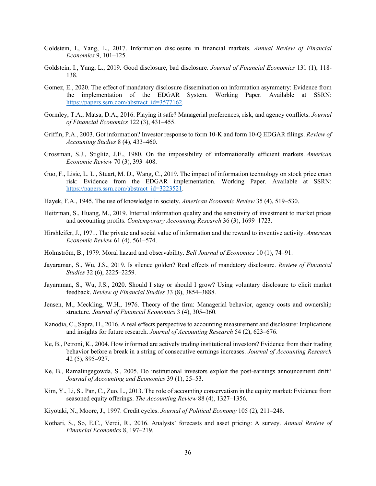- Goldstein, I., Yang, L., 2017. Information disclosure in financial markets. *Annual Review of Financial Economics* 9, 101–125.
- Goldstein, I., Yang, L., 2019. Good disclosure, bad disclosure. *Journal of Financial Economics* 131 (1), 118- 138.
- Gomez, E., 2020. The effect of mandatory disclosure dissemination on information asymmetry: Evidence from the implementation of the EDGAR System. Working Paper. Available at SSRN: [https://papers.ssrn.com/abstract\\_id=3577162.](https://papers.ssrn.com/abstract_id=3577162)
- Gormley, T.A., Matsa, D.A., 2016. Playing it safe? Managerial preferences, risk, and agency conflicts. *Journal of Financial Economics* 122 (3), 431–455.
- Griffin, P.A., 2003. Got information? Investor response to form 10-K and form 10-Q EDGAR filings. *Review of Accounting Studies* 8 (4), 433–460.
- Grossman, S.J., Stiglitz, J.E., 1980. On the impossibility of informationally efficient markets. *American Economic Review* 70 (3), 393–408.
- Guo, F., Lisic, L. L., Stuart, M. D., Wang, C., 2019. The impact of information technology on stock price crash risk: Evidence from the EDGAR implementation. Working Paper. Available at SSRN: [https://papers.ssrn.com/abstract\\_id=3223521.](https://papers.ssrn.com/abstract_id=3223521)
- Hayek, F.A., 1945. The use of knowledge in society. *American Economic Review* 35 (4), 519–530.
- Heitzman, S., Huang, M., 2019. Internal information quality and the sensitivity of investment to market prices and accounting profits. *Contemporary Accounting Research* 36 (3), 1699–1723.
- Hirshleifer, J., 1971. The private and social value of information and the reward to inventive activity. *American Economic Review* 61 (4), 561–574.
- Holmström, B., 1979. Moral hazard and observability. *Bell Journal of Economics* 10 (1), 74–91.
- Jayaraman, S., Wu, J.S., 2019. Is silence golden? Real effects of mandatory disclosure. *Review of Financial Studies* 32 (6), 2225–2259.
- Jayaraman, S., Wu, J.S., 2020. Should I stay or should I grow? Using voluntary disclosure to elicit market feedback. *Review of Financial Studies* 33 (8), 3854–3888.
- Jensen, M., Meckling, W.H., 1976. Theory of the firm: Managerial behavior, agency costs and ownership structure. *Journal of Financial Economics* 3 (4), 305–360.
- Kanodia, C., Sapra, H., 2016. A real effects perspective to accounting measurement and disclosure: Implications and insights for future research. *Journal of Accounting Research* 54 (2), 623–676.
- Ke, B., Petroni, K., 2004. How informed are actively trading institutional investors? Evidence from their trading behavior before a break in a string of consecutive earnings increases. *Journal of Accounting Research* 42 (5), 895–927.
- Ke, B., Ramalingegowda, S., 2005. Do institutional investors exploit the post-earnings announcement drift? *Journal of Accounting and Economics* 39 (1), 25–53.
- Kim, Y., Li, S., Pan, C., Zuo, L., 2013. The role of accounting conservatism in the equity market: Evidence from seasoned equity offerings. *The Accounting Review* 88 (4), 1327–1356.
- Kiyotaki, N., Moore, J., 1997. Credit cycles. *Journal of Political Economy* 105 (2), 211–248.
- Kothari, S., So, E.C., Verdi, R., 2016. Analysts' forecasts and asset pricing: A survey. *Annual Review of Financial Economics* 8, 197–219.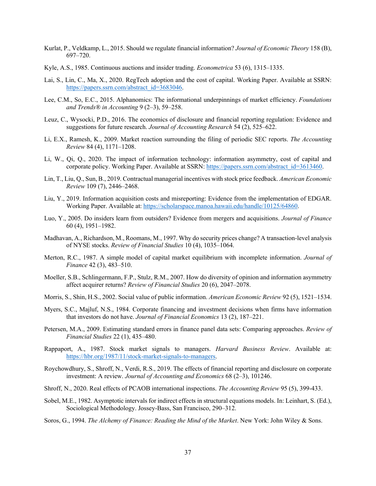- Kurlat, P., Veldkamp, L., 2015. Should we regulate financial information? *Journal of Economic Theory* 158 (B), 697–720.
- Kyle, A.S., 1985. Continuous auctions and insider trading. *Econometrica* 53 (6), 1315–1335.
- Lai, S., Lin, C., Ma, X., 2020. RegTech adoption and the cost of capital. Working Paper. Available at SSRN: [https://papers.ssrn.com/abstract\\_id=3683046.](https://papers.ssrn.com/abstract_id=3683046)
- Lee, C.M., So, E.C., 2015. Alphanomics: The informational underpinnings of market efficiency. *Foundations and Trends® in Accounting* 9 (2–3), 59–258.
- Leuz, C., Wysocki, P.D., 2016. The economics of disclosure and financial reporting regulation: Evidence and suggestions for future research. *Journal of Accounting Research* 54 (2), 525–622.
- Li, E.X., Ramesh, K., 2009. Market reaction surrounding the filing of periodic SEC reports. *The Accounting Review* 84 (4), 1171–1208.
- Li, W., Qi, Q., 2020. The impact of information technology: information asymmetry, cost of capital and corporate policy. Working Paper. Available at SSRN: [https://papers.ssrn.com/abstract\\_id=3613460.](https://papers.ssrn.com/abstract_id=3613460)
- Lin, T., Liu, Q., Sun, B., 2019. Contractual managerial incentives with stock price feedback. *American Economic Review* 109 (7), 2446–2468.
- Liu, Y., 2019. Information acquisition costs and misreporting: Evidence from the implementation of EDGAR. Working Paper. Available at: [https://scholarspace.manoa.hawaii.edu/handle/10125/64860.](https://scholarspace.manoa.hawaii.edu/handle/10125/64860)
- Luo, Y., 2005. Do insiders learn from outsiders? Evidence from mergers and acquisitions. *Journal of Finance* 60 (4), 1951–1982.
- Madhavan, A., Richardson, M., Roomans, M., 1997. Why do security prices change? A transaction-level analysis of NYSE stocks. *Review of Financial Studies* 10 (4), 1035–1064.
- Merton, R.C., 1987. A simple model of capital market equilibrium with incomplete information. *Journal of Finance* 42 (3), 483–510.
- Moeller, S.B., Schlingermann, F.P., Stulz, R.M., 2007. How do diversity of opinion and information asymmetry affect acquirer returns? *Review of Financial Studies* 20 (6), 2047–2078.
- Morris, S., Shin, H.S., 2002. Social value of public information. *American Economic Review* 92 (5), 1521–1534.
- Myers, S.C., Majluf, N.S., 1984. Corporate financing and investment decisions when firms have information that investors do not have. *Journal of Financial Economics* 13 (2), 187–221.
- Petersen, M.A., 2009. Estimating standard errors in finance panel data sets: Comparing approaches. *Review of Financial Studies* 22 (1), 435–480.
- Rappaport, A., 1987. Stock market signals to managers. *Harvard Business Review*. Available at: [https://hbr.org/1987/11/stock-market-signals-to-managers.](https://hbr.org/1987/11/stock-market-signals-to-managers)
- Roychowdhury, S., Shroff, N., Verdi, R.S., 2019. The effects of financial reporting and disclosure on corporate investment: A review. *Journal of Accounting and Economics* 68 (2–3), 101246.
- Shroff, N., 2020. Real effects of PCAOB international inspections. *The Accounting Review* 95 (5), 399-433.
- Sobel, M.E., 1982. Asymptotic intervals for indirect effects in structural equations models. In: Leinhart, S. (Ed.), Sociological Methodology. Jossey-Bass, San Francisco, 290–312.
- Soros, G., 1994. *The Alchemy of Finance: Reading the Mind of the Market*. New York: John Wiley & Sons.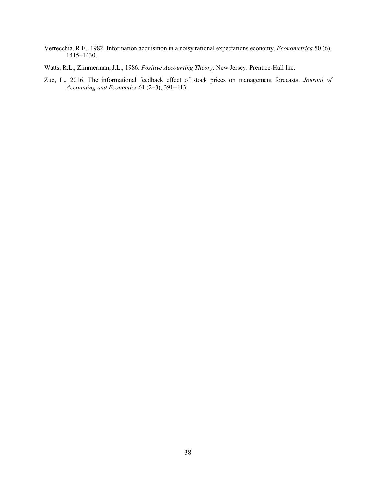- Verrecchia, R.E., 1982. Information acquisition in a noisy rational expectations economy. *Econometrica* 50 (6), 1415–1430.
- Watts, R.L., Zimmerman, J.L., 1986. *Positive Accounting Theory*. New Jersey: Prentice-Hall Inc.
- Zuo, L., 2016. The informational feedback effect of stock prices on management forecasts. *Journal of Accounting and Economics* 61 (2–3), 391–413.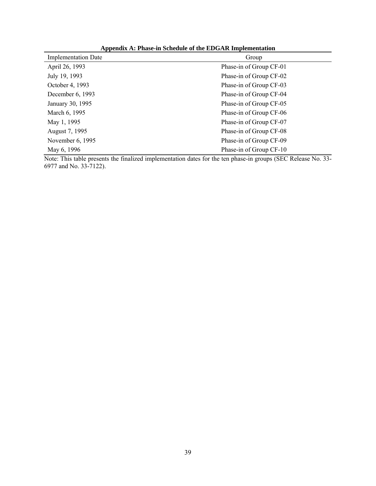| reportant in a mase in senegate of the ED oral imprementation |                         |  |  |  |  |  |
|---------------------------------------------------------------|-------------------------|--|--|--|--|--|
| <b>Implementation Date</b>                                    | Group                   |  |  |  |  |  |
| April 26, 1993                                                | Phase-in of Group CF-01 |  |  |  |  |  |
| July 19, 1993                                                 | Phase-in of Group CF-02 |  |  |  |  |  |
| October 4, 1993                                               | Phase-in of Group CF-03 |  |  |  |  |  |
| December 6, 1993                                              | Phase-in of Group CF-04 |  |  |  |  |  |
| January 30, 1995                                              | Phase-in of Group CF-05 |  |  |  |  |  |
| March 6, 1995                                                 | Phase-in of Group CF-06 |  |  |  |  |  |
| May 1, 1995                                                   | Phase-in of Group CF-07 |  |  |  |  |  |
| August 7, 1995                                                | Phase-in of Group CF-08 |  |  |  |  |  |
| November 6, 1995                                              | Phase-in of Group CF-09 |  |  |  |  |  |
| May 6, 1996                                                   | Phase-in of Group CF-10 |  |  |  |  |  |

**Appendix A: Phase-in Schedule of the EDGAR Implementation**

Note: This table presents the finalized implementation dates for the ten phase-in groups (SEC Release No. 33- 6977 and No. 33-7122).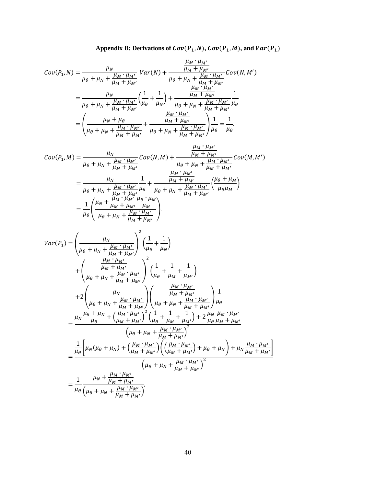Appendix B: Derivations of 
$$
Cov(P_1, N)
$$
,  $Cov(P_1, M)$ , and  $Var(P_1)$ 

$$
Cov(P_1, N) = \frac{\mu_N}{\mu_\theta + \mu_N + \frac{\mu_M \cdot \mu_{M'}}{\mu_M + \mu_{M'}}} Var(N) + \frac{\frac{\mu_M \cdot \mu_{M'}}{\mu_M + \mu_{M'}}}{\mu_\theta + \mu_N + \frac{\mu_M \cdot \mu_{M'}}{\mu_M + \mu_{M'}}} Cov(N, M')
$$
  
= 
$$
\frac{\mu_N}{\mu_\theta + \mu_N + \frac{\mu_M \cdot \mu_{M'}}{\mu_M + \mu_{M'}}} \left(\frac{1}{\mu_\theta} + \frac{1}{\mu_N}\right) + \frac{\frac{\mu_M \cdot \mu_{M'}}{\mu_M + \mu_{M'}}}{\mu_\theta + \mu_N + \frac{\mu_M \cdot \mu_{M'}}{\mu_M + \mu_{M'}}} \frac{1}{\mu_\theta}
$$
  
= 
$$
\left(\frac{\mu_N + \mu_\theta}{\mu_\theta + \mu_N + \frac{\mu_M \cdot \mu_{M'}}{\mu_M + \mu_{M'}}} + \frac{\frac{\mu_M \cdot \mu_{M'}}{\mu_M + \mu_{M'}}}{\mu_\theta + \mu_N + \frac{\mu_M \cdot \mu_{M'}}{\mu_M + \mu_{M'}}}\right) \frac{1}{\mu_\theta} = \frac{1}{\mu_\theta}.
$$

$$
Cov(P_1, M) = \frac{\mu_N}{\mu_{\theta} + \mu_N + \frac{\mu_{M} \cdot \mu_{M'}}{\mu_M + \mu_{M'}}} Cov(N, M) + \frac{\frac{\mu_M \cdot \mu_{M'}}{\mu_M + \mu_{M'}} Cov(M, M'))}{\mu_{\theta} + \mu_N + \frac{\mu_M \cdot \mu_{M'}}{\mu_M + \mu_{M'}}}
$$
  

$$
= \frac{\mu_N}{\mu_{\theta} + \mu_N + \frac{\mu_M \cdot \mu_{M'}}{\mu_M + \mu_{M'}} \mu_{\theta}} + \frac{\frac{\mu_M \cdot \mu_{M'}}{\mu_M + \mu_{M'}}}{\mu_{\theta} + \mu_N + \frac{\mu_M \cdot \mu_{M'}}{\mu_M + \mu_{M'}}} \left(\frac{\mu_{\theta} + \mu_M}{\mu_{\theta} + \mu_M}\right)
$$
  

$$
= \frac{1}{\mu_{\theta}} \left(\frac{\mu_N + \frac{\mu_M \cdot \mu_{M'}}{\mu_M + \mu_{M'}} \frac{\mu_{\theta} \cdot \mu_M}{\mu_M + \mu_{M'}}\right).
$$

$$
Var(P_1) = \left(\frac{\mu_N}{\mu_{\theta} + \mu_N + \frac{\mu_M \cdot \mu_{M'}}{\mu_M + \mu_{M'}}\right)^2 \left(\frac{1}{\mu_{\theta}} + \frac{1}{\mu_N}\right) + \left(\frac{\frac{\mu_M \cdot \mu_{M'}}{\mu_M + \mu_{M'}}{\mu_M + \mu_{M'}}\right)^2 \left(\frac{1}{\mu_{\theta}} + \frac{1}{\mu_M} + \frac{1}{\mu_{M'}}\right) + 2\left(\frac{\mu_N}{\mu_{\theta} + \mu_N + \frac{\mu_M \cdot \mu_{M'}}{\mu_M + \mu_{M'}}}\right) \left(\frac{\frac{\mu_M \cdot \mu_{M'}}{\mu_M + \mu_{M'}}\right) + 2\left(\frac{\mu_N}{\mu_{\theta} + \mu_N + \frac{\mu_M \cdot \mu_{M'}}{\mu_M + \mu_{M'}}}\right) \left(\frac{\frac{\mu_M \cdot \mu_{M'}}{\mu_M + \mu_{M'}}\mu_{M'}}{\mu_{\theta} + \mu_N + \frac{\mu_M \cdot \mu_{M'}}{\mu_M + \mu_{M'}}}\right) \frac{1}{\mu_{\theta}} = \frac{\mu_N \frac{\mu_{\theta} + \mu_N}{\mu_{\theta}} + \left(\frac{\mu_M \cdot \mu_{M'}}{\mu_M + \mu_{M'}}\right)^2 \left(\frac{1}{\mu_{\theta}} + \frac{1}{\mu_M} + \frac{1}{\mu_{M'}}\right) + 2 \frac{\mu_N \mu_M \cdot \mu_{M'}}{\mu_{\theta} \mu_M + \mu_{M'}} = \frac{\frac{1}{\mu_{\theta}} \left[\mu_N(\mu_{\theta} + \mu_N) + \left(\frac{\mu_M \cdot \mu_{M'}}{\mu_M + \mu_{M'}}\right) \left(\left(\frac{\mu_M \cdot \mu_{M'}}{\mu_M + \mu_{M'}}\right) + \mu_N \frac{\mu_M \cdot \mu_{M'}}{\mu_M + \mu_{M'}}\right]}{\left(\mu_{\theta} + \mu_N + \frac{\mu_M \cdot \mu_{M'}}{\mu_M + \mu_{M'}}\right)^2} = \frac{1}{\mu_{\theta}} \frac{\mu_N + \frac{\mu_M \cdot \mu_{M'}}{\mu_M + \mu_{M'}}}{\left(\mu_{\theta} + \mu_N + \frac{\mu_M \cdot \mu_{M'}}{\mu_M + \mu_{M'}}\right)}.
$$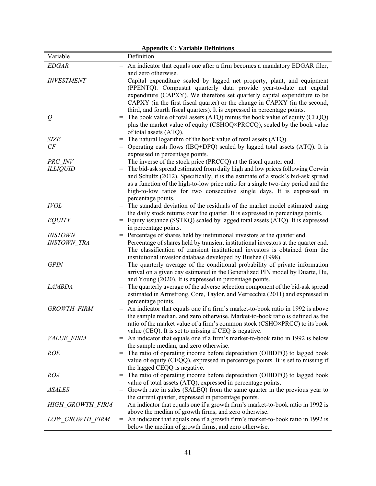|                       |     | <b>Appendix C: Variable Definitions</b>                                                                                                                     |
|-----------------------|-----|-------------------------------------------------------------------------------------------------------------------------------------------------------------|
| Variable              |     | Definition                                                                                                                                                  |
| <b>EDGAR</b>          | $=$ | An indicator that equals one after a firm becomes a mandatory EDGAR filer,                                                                                  |
|                       |     | and zero otherwise.                                                                                                                                         |
| <b>INVESTMENT</b>     | $=$ | Capital expenditure scaled by lagged net property, plant, and equipment                                                                                     |
|                       |     | (PPENTQ). Compustat quarterly data provide year-to-date net capital                                                                                         |
|                       |     | expenditure (CAPXY). We therefore set quarterly capital expenditure to be                                                                                   |
|                       |     | CAPXY (in the first fiscal quarter) or the change in CAPXY (in the second,                                                                                  |
|                       |     | third, and fourth fiscal quarters). It is expressed in percentage points.                                                                                   |
| $\varrho$             | $=$ | The book value of total assets (ATQ) minus the book value of equity (CEQQ)                                                                                  |
|                       |     | plus the market value of equity (CSHOQ×PRCCQ), scaled by the book value                                                                                     |
|                       |     | of total assets (ATQ).                                                                                                                                      |
| <b>SIZE</b><br>CF     | $=$ | The natural logarithm of the book value of total assets (ATQ).                                                                                              |
|                       | $=$ | Operating cash flows (IBQ+DPQ) scaled by lagged total assets (ATQ). It is                                                                                   |
| PRC INV               | $=$ | expressed in percentage points.<br>The inverse of the stock price (PRCCQ) at the fiscal quarter end.                                                        |
| <b>ILLIQUID</b>       | $=$ | The bid-ask spread estimated from daily high and low prices following Corwin                                                                                |
|                       |     | and Schultz (2012). Specifically, it is the estimate of a stock's bid-ask spread                                                                            |
|                       |     | as a function of the high-to-low price ratio for a single two-day period and the                                                                            |
|                       |     | high-to-low ratios for two consecutive single days. It is expressed in                                                                                      |
|                       |     | percentage points.                                                                                                                                          |
| <b>IVOL</b>           |     | = The standard deviation of the residuals of the market model estimated using                                                                               |
|                       |     | the daily stock returns over the quarter. It is expressed in percentage points.                                                                             |
| <b>EQUITY</b>         | $=$ | Equity issuance (SSTKQ) scaled by lagged total assets (ATQ). It is expressed                                                                                |
|                       |     | in percentage points.                                                                                                                                       |
| <i><b>INSTOWN</b></i> |     | = Percentage of shares held by institutional investors at the quarter end.                                                                                  |
| <b>INSTOWN TRA</b>    | $=$ | Percentage of shares held by transient institutional investors at the quarter end.                                                                          |
|                       |     | The classification of transient institutional investors is obtained from the                                                                                |
|                       |     | institutional investor database developed by Bushee (1998).                                                                                                 |
| <b>GPIN</b>           | $=$ | The quarterly average of the conditional probability of private information<br>arrival on a given day estimated in the Generalized PIN model by Duarte, Hu, |
|                       |     | and Young (2020). It is expressed in percentage points.                                                                                                     |
| <i>LAMBDA</i>         | $=$ | The quarterly average of the adverse selection component of the bid-ask spread                                                                              |
|                       |     | estimated in Armstrong, Core, Taylor, and Verrecchia (2011) and expressed in                                                                                |
|                       |     | percentage points.                                                                                                                                          |
| <b>GROWTH FIRM</b>    | $=$ | An indicator that equals one if a firm's market-to-book ratio in 1992 is above                                                                              |
|                       |     | the sample median, and zero otherwise. Market-to-book ratio is defined as the                                                                               |
|                       |     | ratio of the market value of a firm's common stock (CSHO×PRCC) to its book                                                                                  |
|                       |     | value (CEQ). It is set to missing if CEQ is negative.                                                                                                       |
| VALUE FIRM            | $=$ | An indicator that equals one if a firm's market-to-book ratio in 1992 is below                                                                              |
|                       |     | the sample median, and zero otherwise.                                                                                                                      |
| <b>ROE</b>            | $=$ | The ratio of operating income before depreciation (OIBDPQ) to lagged book                                                                                   |
|                       |     | value of equity (CEQQ), expressed in percentage points. It is set to missing if                                                                             |
|                       |     | the lagged CEQQ is negative.                                                                                                                                |
| <b>ROA</b>            | $=$ | The ratio of operating income before depreciation (OIBDPQ) to lagged book                                                                                   |
|                       |     | value of total assets (ATQ), expressed in percentage points.                                                                                                |
| <b>ASALES</b>         |     | = Growth rate in sales (SALEQ) from the same quarter in the previous year to<br>the current quarter, expressed in percentage points.                        |
| HIGH GROWTH FIRM      | $=$ | An indicator that equals one if a growth firm's market-to-book ratio in 1992 is                                                                             |
|                       |     | above the median of growth firms, and zero otherwise.                                                                                                       |
| LOW GROWTH FIRM       |     | $=$ An indicator that equals one if a growth firm's market-to-book ratio in 1992 is                                                                         |
|                       |     | below the median of growth firms, and zero otherwise.                                                                                                       |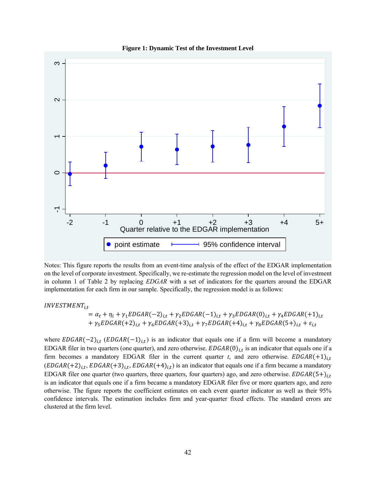

**Figure 1: Dynamic Test of the Investment Level**

Notes: This figure reports the results from an event-time analysis of the effect of the EDGAR implementation on the level of corporate investment. Specifically, we re-estimate the regression model on the level of investment in column 1 of Table 2 by replacing *EDGAR* with a set of indicators for the quarters around the EDGAR implementation for each firm in our sample. Specifically, the regression model is as follows:

 $INVESTMENT_{i.t}$ 

 $= \alpha_t + \eta_i + \gamma_1 EDGAR(-2)_{i,t} + \gamma_2 EDGAR(-1)_{i,t} + \gamma_3 EDGAR(0)_{i,t} + \gamma_4 EDGAR(+1)_{i,t}$ +  $\gamma_5EDGAR(+2)_{i,t} + \gamma_6EDGAR(+3)_{i,t} + \gamma_7EDGAR(+4)_{i,t} + \gamma_8EDGAR(5+)_{i,t} + \varepsilon_{i,t}$ 

where  $EDGAR(-2)_{i,t}$  ( $EDGAR(-1)_{i,t}$ ) is an indicator that equals one if a firm will become a mandatory EDGAR filer in two quarters (one quarter), and zero otherwise.  $EDGAR(0)_{i,t}$  is an indicator that equals one if a firm becomes a mandatory EDGAR filer in the current quarter *t*, and zero otherwise.  $EDGAR(+1)_{i,t}$  $(EDGAR(+2)<sub>i,t</sub>, EDGAR(+3)<sub>i,t</sub>, EDGAR(+4)<sub>i,t</sub>)$  is an indicator that equals one if a firm became a mandatory EDGAR filer one quarter (two quarters, three quarters, four quarters) ago, and zero otherwise.  $EDGAR(5+)_{i,t}$ is an indicator that equals one if a firm became a mandatory EDGAR filer five or more quarters ago, and zero otherwise. The figure reports the coefficient estimates on each event quarter indicator as well as their 95% confidence intervals. The estimation includes firm and year-quarter fixed effects. The standard errors are clustered at the firm level.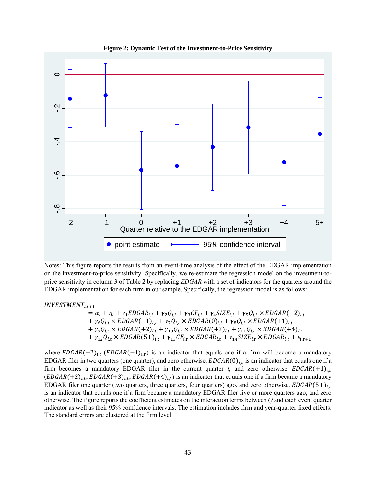

**Figure 2: Dynamic Test of the Investment-to-Price Sensitivity**

Notes: This figure reports the results from an event-time analysis of the effect of the EDGAR implementation on the investment-to-price sensitivity. Specifically, we re-estimate the regression model on the investment-toprice sensitivity in column 3 of Table 2 by replacing *EDGAR* with a set of indicators for the quarters around the EDGAR implementation for each firm in our sample. Specifically, the regression model is as follows:

 $INVESTMENT_{i.t+1}$ 

 $= \alpha_t + \eta_i + \gamma_1 EDGAR_{i,t} + \gamma_2 Q_{i,t} + \gamma_3 CF_{i,t} + \gamma_4 SIZE_{i,t} + \gamma_5 Q_{i,t} \times EDGAR(-2)_{i,t}$  $+\gamma_6 Q_{i,t} \times EDGAR(-1)_{i,t} + \gamma_7 Q_{i,t} \times EDGAR(0)_{i,t} + \gamma_8 Q_{i,t} \times EDGAR(+1)_{i,t}$  $+ \gamma_9 Q_{i,t} \times EDGAR(+2)_{i,t} + \gamma_{10} Q_{i,t} \times EDGAR(+3)_{i,t} + \gamma_{11} Q_{i,t} \times EDGAR(+4)_{i,t}$  $+ \gamma_{12} Q_{i,t} \times EDGAR(5+)_{i,t} + \gamma_{13} CF_{i,t} \times EDGAR_{i,t} + \gamma_{14} SIZE_{i,t} \times EDGAR_{i,t} + \varepsilon_{i,t+1}$ 

where  $EDGAR(-2)_{i,t}$  (EDGAR(-1)<sub>i,t</sub>) is an indicator that equals one if a firm will become a mandatory EDGAR filer in two quarters (one quarter), and zero otherwise.  $EDGAR(0)_{i,t}$  is an indicator that equals one if a firm becomes a mandatory EDGAR filer in the current quarter *t*, and zero otherwise.  $EDGAR(+1)_{i,t}$  $(EDGAR(+2)<sub>i,t</sub>, EDGAR(+3)<sub>i,t</sub>, EDGAR(+4)<sub>i,t</sub>)$  is an indicator that equals one if a firm became a mandatory EDGAR filer one quarter (two quarters, three quarters, four quarters) ago, and zero otherwise.  $EDGAR(5+)_{i,t}$ is an indicator that equals one if a firm became a mandatory EDGAR filer five or more quarters ago, and zero otherwise. The figure reports the coefficient estimates on the interaction terms between *Q* and each event quarter indicator as well as their 95% confidence intervals. The estimation includes firm and year-quarter fixed effects. The standard errors are clustered at the firm level.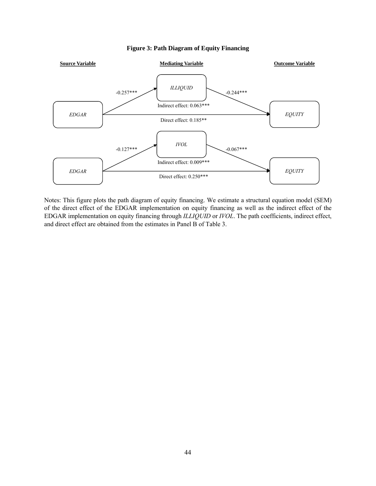

#### **Figure 3: Path Diagram of Equity Financing**

Notes: This figure plots the path diagram of equity financing. We estimate a structural equation model (SEM) of the direct effect of the EDGAR implementation on equity financing as well as the indirect effect of the EDGAR implementation on equity financing through *ILLIQUID* or *IVOL*. The path coefficients, indirect effect, and direct effect are obtained from the estimates in Panel B of Table 3.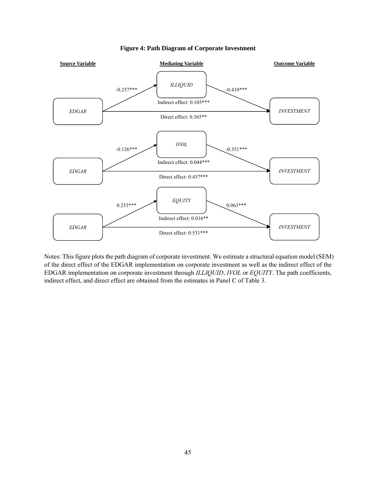

#### **Figure 4: Path Diagram of Corporate Investment**

Notes: This figure plots the path diagram of corporate investment. We estimate a structural equation model (SEM) of the direct effect of the EDGAR implementation on corporate investment as well as the indirect effect of the EDGAR implementation on corporate investment through *ILLIQUID*, *IVOL* or *EQUITY*. The path coefficients, indirect effect, and direct effect are obtained from the estimates in Panel C of Table 3.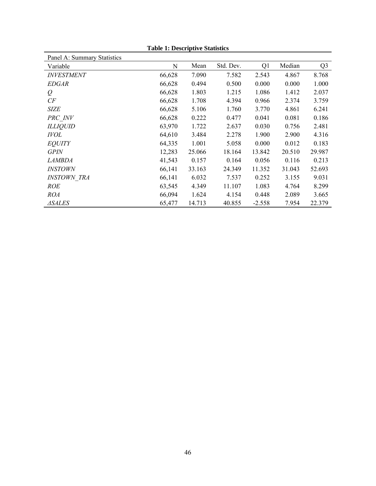| Panel A: Summary Statistics |        |        |           |          |        |                |
|-----------------------------|--------|--------|-----------|----------|--------|----------------|
| Variable                    | N      | Mean   | Std. Dev. | Q1       | Median | Q <sub>3</sub> |
| <b>INVESTMENT</b>           | 66,628 | 7.090  | 7.582     | 2.543    | 4.867  | 8.768          |
| <b>EDGAR</b>                | 66,628 | 0.494  | 0.500     | 0.000    | 0.000  | 1.000          |
| $\varrho$                   | 66,628 | 1.803  | 1.215     | 1.086    | 1.412  | 2.037          |
| CF                          | 66,628 | 1.708  | 4.394     | 0.966    | 2.374  | 3.759          |
| <b>SIZE</b>                 | 66,628 | 5.106  | 1.760     | 3.770    | 4.861  | 6.241          |
| PRC INV                     | 66,628 | 0.222  | 0.477     | 0.041    | 0.081  | 0.186          |
| <b>ILLIQUID</b>             | 63,970 | 1.722  | 2.637     | 0.030    | 0.756  | 2.481          |
| <b>IVOL</b>                 | 64,610 | 3.484  | 2.278     | 1.900    | 2.900  | 4.316          |
| <b>EQUITY</b>               | 64,335 | 1.001  | 5.058     | 0.000    | 0.012  | 0.183          |
| <b>GPIN</b>                 | 12,283 | 25.066 | 18.164    | 13.842   | 20.510 | 29.987         |
| <i>LAMBDA</i>               | 41,543 | 0.157  | 0.164     | 0.056    | 0.116  | 0.213          |
| <b>INSTOWN</b>              | 66,141 | 33.163 | 24.349    | 11.352   | 31.043 | 52.693         |
| <b>INSTOWN TRA</b>          | 66,141 | 6.032  | 7.537     | 0.252    | 3.155  | 9.031          |
| <b>ROE</b>                  | 63,545 | 4.349  | 11.107    | 1.083    | 4.764  | 8.299          |
| <b>ROA</b>                  | 66,094 | 1.624  | 4.154     | 0.448    | 2.089  | 3.665          |
| ⊿SALES                      | 65,477 | 14.713 | 40.855    | $-2.558$ | 7.954  | 22.379         |

**Table 1: Descriptive Statistics**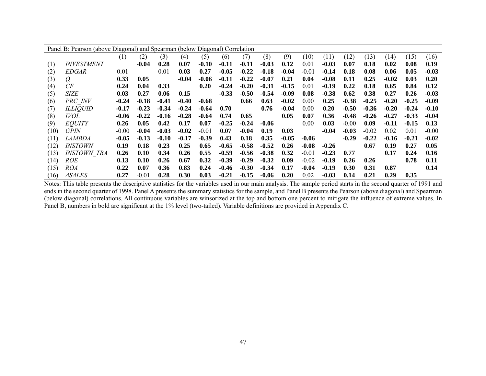|      | Panel B: Pearson (above Diagonal) and Spearman (below Diagonal) Correlation |         |         |         |         |         |         |         |         |         |         |         |         |         |         |         |         |
|------|-----------------------------------------------------------------------------|---------|---------|---------|---------|---------|---------|---------|---------|---------|---------|---------|---------|---------|---------|---------|---------|
|      |                                                                             | (1)     | (2)     | (3)     | (4)     | (5)     | (6)     | (7)     | (8)     | (9)     | (10)    | (11)    | (12)    | (13)    | (14)    | (15)    | (16)    |
| (1)  | <b>INVESTMENT</b>                                                           |         | $-0.04$ | 0.28    | 0.07    | $-0.10$ | $-0.11$ | $-0.11$ | $-0.03$ | 0.12    | 0.01    | $-0.03$ | 0.07    | 0.18    | 0.02    | 0.08    | 0.19    |
| (2)  | EDGAR                                                                       | 0.01    |         | 0.01    | 0.03    | 0.27    | $-0.05$ | $-0.22$ | $-0.18$ | $-0.04$ | $-0.01$ | $-0.14$ | 0.18    | 0.08    | 0.06    | 0.05    | $-0.03$ |
| (3)  | $\mathcal{Q}$                                                               | 0.33    | 0.05    |         | $-0.04$ | $-0.06$ | $-0.11$ | $-0.22$ | $-0.07$ | 0.21    | 0.04    | $-0.08$ | 0.11    | 0.25    | $-0.02$ | 0.03    | 0.20    |
| (4)  | CF                                                                          | 0.24    | 0.04    | 0.33    |         | 0.20    | $-0.24$ | $-0.20$ | $-0.31$ | $-0.15$ | 0.01    | -0.19   | 0.22    | 0.18    | 0.65    | 0.84    | 0.12    |
| (5)  | SIZE                                                                        | 0.03    | 0.27    | 0.06    | 0.15    |         | $-0.33$ | $-0.50$ | $-0.54$ | $-0.09$ | 0.08    | $-0.38$ | 0.62    | 0.38    | 0.27    | 0.26    | $-0.03$ |
| (6)  | PRC INV                                                                     | $-0.24$ | $-0.18$ | $-0.41$ | $-0.40$ | $-0.68$ |         | 0.66    | 0.63    | $-0.02$ | 0.00    | 0.25    | $-0.38$ | $-0.25$ | $-0.20$ | $-0.25$ | $-0.09$ |
| (7)  | <b>ILLIQUID</b>                                                             | $-0.17$ | $-0.23$ | $-0.34$ | $-0.24$ | $-0.64$ | 0.70    |         | 0.76    | $-0.04$ | 0.00    | 0.20    | $-0.50$ | $-0.36$ | $-0.20$ | $-0.24$ | $-0.10$ |
| (8)  | <i>IVOL</i>                                                                 | $-0.06$ | $-0.22$ | $-0.16$ | $-0.28$ | $-0.64$ | 0.74    | 0.65    |         | 0.05    | 0.07    | 0.36    | $-0.48$ | $-0.26$ | $-0.27$ | $-0.33$ | $-0.04$ |
| (9)  | <b>EQUITY</b>                                                               | 0.26    | 0.05    | 0.42    | 0.17    | 0.07    | $-0.25$ | $-0.24$ | $-0.06$ |         | 0.00    | 0.03    | $-0.00$ | 0.09    | $-0.11$ | $-0.15$ | 0.13    |
| (10) | <b>GPIN</b>                                                                 | $-0.00$ | $-0.04$ | $-0.03$ | $-0.02$ | $-0.01$ | 0.07    | $-0.04$ | 0.19    | 0.03    |         | $-0.04$ | $-0.03$ | $-0.02$ | 0.02    | 0.01    | $-0.00$ |
| (11) | <i>LAMBDA</i>                                                               | $-0.05$ | $-0.13$ | $-0.10$ | $-0.17$ | $-0.39$ | 0.43    | 0.18    | 0.35    | $-0.05$ | $-0.06$ |         | $-0.29$ | $-0.22$ | $-0.16$ | $-0.21$ | $-0.02$ |
| (12) | <i>INSTOWN</i>                                                              | 0.19    | 0.18    | 0.23    | 0.25    | 0.65    | $-0.65$ | $-0.58$ | $-0.52$ | 0.26    | $-0.08$ | $-0.26$ |         | 0.67    | 0.19    | 0.27    | 0.05    |
| (13) | <i><b>INSTOWN TRA</b></i>                                                   | 0.26    | 0.10    | 0.34    | 0.26    | 0.55    | $-0.59$ | $-0.56$ | $-0.38$ | 0.32    | $-0.01$ | $-0.23$ | 0.77    |         | 0.17    | 0.24    | 0.16    |
| (14) | <i>ROE</i>                                                                  | 0.13    | 0.10    | 0.26    | 0.67    | 0.32    | $-0.39$ | $-0.29$ | $-0.32$ | 0.09    | $-0.02$ | -0.19   | 0.26    | 0.26    |         | 0.78    | 0.11    |
| (15) | <i>ROA</i>                                                                  | 0.22    | 0.07    | 0.36    | 0.83    | 0.24    | $-0.46$ | $-0.30$ | $-0.34$ | 0.17    | $-0.04$ | -0.19   | 0.30    | 0.31    | 0.87    |         | 0.14    |
| (16) | <i>ASALES</i>                                                               | 0.27    | $-0.01$ | 0.28    | 0.30    | 0.03    | $-0.21$ | $-0.15$ | $-0.06$ | 0.20    | 0.02    | $-0.03$ | 0.14    | 0.21    | 0.29    | 0.35    |         |

Notes: This table presents the descriptive statistics for the variables used in our main analysis. The sample period starts in the second quarter of 1991 and ends in the second quarter of 1998. Panel A presents the summary statistics for the sample, and Panel B presents the Pearson (above diagonal) and Spearman (below diagonal) correlations. All continuous variables are winsorized at the top and bottom one percent to mitigate the influence of extreme values. In Panel B, numbers in bold are significant at the 1% level (two-tailed). Variable definitions are provided in Appendix C.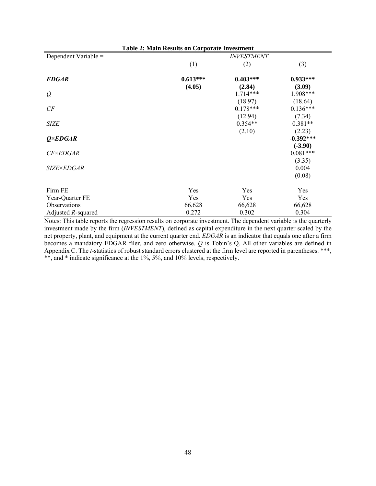| <b>Table 2: Main Results on Corporate Investment</b> |                   |                       |                         |  |  |  |  |  |  |
|------------------------------------------------------|-------------------|-----------------------|-------------------------|--|--|--|--|--|--|
| Dependent Variable =                                 | <b>INVESTMENT</b> |                       |                         |  |  |  |  |  |  |
|                                                      | (1)               | (2)                   | (3)                     |  |  |  |  |  |  |
| <b>EDGAR</b>                                         | $0.613***$        | $0.403***$            | $0.933***$              |  |  |  |  |  |  |
| $\varrho$                                            | (4.05)            | (2.84)<br>$1.714***$  | (3.09)<br>1.908***      |  |  |  |  |  |  |
| CF                                                   |                   | (18.97)<br>$0.178***$ | (18.64)<br>$0.136***$   |  |  |  |  |  |  |
| <b>SIZE</b>                                          |                   | (12.94)<br>$0.354**$  | (7.34)<br>$0.381**$     |  |  |  |  |  |  |
| $Q \times EDGAR$                                     |                   | (2.10)                | (2.23)<br>$-0.392***$   |  |  |  |  |  |  |
| <b>CF×EDGAR</b>                                      |                   |                       | $(-3.90)$<br>$0.081***$ |  |  |  |  |  |  |
| <i>SIZE×EDGAR</i>                                    |                   |                       | (3.35)<br>0.004         |  |  |  |  |  |  |
|                                                      |                   |                       | (0.08)                  |  |  |  |  |  |  |
| Firm FE                                              | Yes               | Yes                   | Yes                     |  |  |  |  |  |  |
| Year-Quarter FE                                      | Yes               | Yes                   | Yes                     |  |  |  |  |  |  |
| Observations                                         | 66,628            | 66,628                | 66,628                  |  |  |  |  |  |  |
| Adjusted $R$ -squared                                | 0.272             | 0.302                 | 0.304                   |  |  |  |  |  |  |

Notes: This table reports the regression results on corporate investment. The dependent variable is the quarterly investment made by the firm (*INVESTMENT*), defined as capital expenditure in the next quarter scaled by the net property, plant, and equipment at the current quarter end. *EDGAR* is an indicator that equals one after a firm becomes a mandatory EDGAR filer, and zero otherwise. *Q* is Tobin's Q. All other variables are defined in Appendix C. The *t*-statistics of robust standard errors clustered at the firm level are reported in parentheses. \*\*\*, \*\*, and \* indicate significance at the 1%, 5%, and 10% levels, respectively.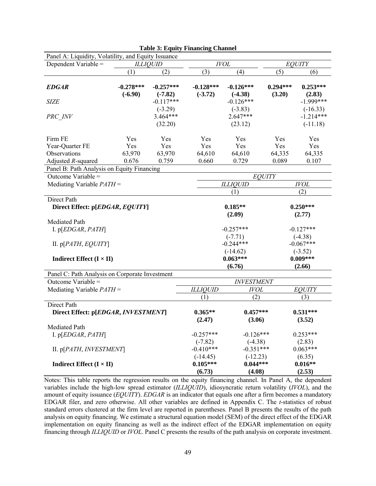| Panel A: Liquidity, Volatility, and Equity Issuance |                          |                          |                          |                          |                      |                           |  |
|-----------------------------------------------------|--------------------------|--------------------------|--------------------------|--------------------------|----------------------|---------------------------|--|
| Dependent Variable =                                | <b>ILLIQUID</b>          |                          |                          | IVOL                     | EQUITY               |                           |  |
|                                                     | (1)                      | (2)                      | (3)                      | (4)                      | (5)                  | (6)                       |  |
| <i><b>EDGAR</b></i>                                 | $-0.278***$<br>$(-6.90)$ | $-0.257***$<br>$(-7.82)$ | $-0.128***$<br>$(-3.72)$ | $-0.126***$<br>$(-4.38)$ | $0.294***$<br>(3.20) | $0.253***$<br>(2.83)      |  |
| <b>SIZE</b>                                         |                          | $-0.117***$<br>$(-3.29)$ |                          | $-0.126***$<br>$(-3.83)$ |                      | $-1.999***$<br>$(-16.33)$ |  |
| PRC INV                                             |                          | $3.464***$<br>(32.20)    |                          | $2.647***$<br>(23.12)    |                      | $-1.214***$<br>$(-11.18)$ |  |
| Firm FE                                             | Yes                      | Yes                      | Yes                      | Yes                      | Yes                  | Yes                       |  |
| Year-Quarter FE                                     | Yes                      | Yes                      | Yes                      | Yes                      | Yes                  | Yes                       |  |
| Observations                                        | 63,970                   | 63,970                   | 64,610                   | 64,610                   | 64,335               | 64,335                    |  |
| Adjusted R-squared                                  | 0.676                    | 0.759                    | 0.660                    | 0.729                    | 0.089                | 0.107                     |  |
| Panel B: Path Analysis on Equity Financing          |                          |                          |                          |                          |                      |                           |  |
| Outcome Variable =                                  |                          |                          |                          |                          | <b>EQUITY</b>        |                           |  |
| Mediating Variable $PATH =$                         |                          |                          |                          | <b>ILLIQUID</b>          |                      | <b>IVOL</b>               |  |
|                                                     |                          |                          | (1)<br>(2)               |                          |                      |                           |  |
| Direct Path                                         |                          |                          |                          |                          |                      |                           |  |
| Direct Effect: p[EDGAR, EQUITY]                     |                          |                          |                          | $0.185**$<br>(2.09)      |                      | $0.250***$<br>(2.77)      |  |
| Mediated Path                                       |                          |                          |                          |                          |                      |                           |  |
| I. $p[EDGAR, PATH]$                                 |                          |                          |                          | $-0.257***$              |                      | $-0.127***$               |  |
|                                                     |                          |                          |                          | $(-7.71)$                |                      | $(-4.38)$                 |  |
| II. $p[PATH, EQUITY]$                               |                          |                          |                          | $-0.244***$              |                      | $-0.067***$               |  |
|                                                     |                          |                          |                          | $(-14.62)$               |                      | $(-3.52)$                 |  |
| <b>Indirect Effect</b> ( $I \times II$ )            |                          |                          |                          | $0.063***$               |                      | $0.009***$                |  |
|                                                     |                          |                          |                          | (6.76)                   |                      | (2.66)                    |  |
| Panel C: Path Analysis on Corporate Investment      |                          |                          |                          |                          |                      |                           |  |
| Outcome Variable =                                  |                          |                          |                          | <b>INVESTMENT</b>        |                      |                           |  |
| Mediating Variable $PATH =$                         |                          |                          | <b>ILLIQUID</b>          | <b>IVOL</b>              |                      | <b>EQUITY</b>             |  |
|                                                     |                          |                          | (1)                      | (2)                      |                      | (3)                       |  |
| Direct Path                                         |                          |                          |                          |                          |                      |                           |  |
| Direct Effect: p[EDGAR, INVESTMENT]                 |                          |                          | $0.365**$<br>(2.47)      | $0.457***$<br>(3.06)     |                      | $0.531***$<br>(3.52)      |  |
| Mediated Path                                       |                          |                          |                          |                          |                      |                           |  |
| I. $p[EDGAR, PATH]$                                 |                          |                          | $-0.257***$              | $-0.126***$              |                      | $0.253***$                |  |
|                                                     |                          |                          | $(-7.82)$                | $(-4.38)$                |                      | (2.83)                    |  |
| II. p[PATH, INVESTMENT]                             |                          |                          | $-0.410***$              | $-0.351***$              |                      | $0.063***$                |  |
|                                                     |                          |                          | $(-14.45)$               | $(-12.23)$               |                      | (6.35)                    |  |
| <b>Indirect Effect</b> ( $I \times II$ )            |                          |                          | $0.105***$<br>(6.73)     | $0.044***$<br>(4.08)     |                      | $0.016**$<br>(2.53)       |  |

|  | <b>Table 3: Equity Financing Channel</b> |
|--|------------------------------------------|
|--|------------------------------------------|

Notes: This table reports the regression results on the equity financing channel. In Panel A, the dependent variables include the high-low spread estimator (*ILLIQUID*), idiosyncratic return volatility (*IVOL*), and the amount of equity issuance (*EQUITY*). *EDGAR* is an indicator that equals one after a firm becomes a mandatory EDGAR filer, and zero otherwise. All other variables are defined in Appendix C. The *t*-statistics of robust standard errors clustered at the firm level are reported in parentheses. Panel B presents the results of the path analysis on equity financing. We estimate a structural equation model (SEM) of the direct effect of the EDGAR implementation on equity financing as well as the indirect effect of the EDGAR implementation on equity financing through *ILLIQUID* or *IVOL*. Panel C presents the results of the path analysis on corporate investment.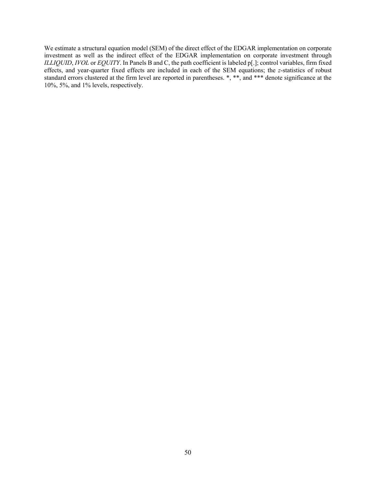We estimate a structural equation model (SEM) of the direct effect of the EDGAR implementation on corporate investment as well as the indirect effect of the EDGAR implementation on corporate investment through *ILLIQUID*, *IVOL* or *EQUITY*. In Panels B and C, the path coefficient is labeled p[.]; control variables, firm fixed effects, and year-quarter fixed effects are included in each of the SEM equations; the *z*-statistics of robust standard errors clustered at the firm level are reported in parentheses. \*, \*\*, and \*\*\* denote significance at the 10%, 5%, and 1% levels, respectively.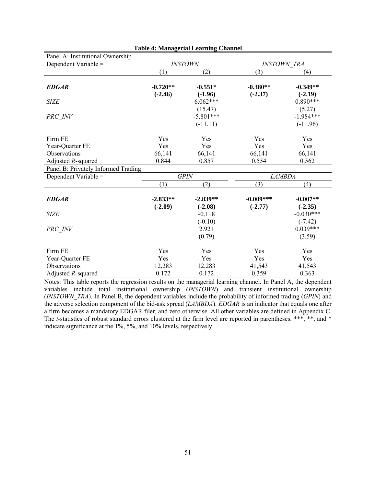| Panel A: Institutional Ownership    |            |                |             |                    |
|-------------------------------------|------------|----------------|-------------|--------------------|
| Dependent Variable =                |            | <b>INSTOWN</b> |             | <b>INSTOWN TRA</b> |
|                                     | (1)        | (2)            | (3)         | (4)                |
| <b>EDGAR</b>                        | $-0.720**$ | $-0.551*$      | $-0.380**$  | $-0.349**$         |
|                                     | $(-2.46)$  | $(-1.96)$      | $(-2.37)$   | $(-2.19)$          |
| <b>SIZE</b>                         |            | $6.062***$     |             | $0.890***$         |
|                                     |            | (15.47)        |             | (5.27)             |
| PRC_INV                             |            | $-5.801***$    |             | $-1.984***$        |
|                                     |            | $(-11.11)$     |             | $(-11.96)$         |
| Firm FE                             | Yes        | Yes            | Yes         | Yes                |
| Year-Quarter FE                     | Yes        | Yes            | Yes         | Yes                |
| Observations                        | 66,141     | 66,141         | 66,141      | 66,141             |
| Adjusted R-squared                  | 0.844      | 0.857          | 0.554       | 0.562              |
| Panel B: Privately Informed Trading |            |                |             |                    |
| Dependent Variable =                |            | <b>GPIN</b>    |             | <b>LAMBDA</b>      |
|                                     | (1)        | (2)            | (3)         | (4)                |
| <b>EDGAR</b>                        | $-2.833**$ | $-2.839**$     | $-0.009***$ | $-0.007**$         |
|                                     | $(-2.09)$  | $(-2.08)$      | $(-2.77)$   | $(-2.35)$          |
| <b>SIZE</b>                         |            | $-0.118$       |             | $-0.030***$        |
|                                     |            | $(-0.10)$      |             | $(-7.42)$          |
| PRC INV                             |            | 2.921          |             | $0.039***$         |
|                                     |            | (0.79)         |             | (3.59)             |
| Firm FE                             | Yes        | Yes            | Yes         | Yes                |
| Year-Quarter FE                     | Yes        | Yes            | Yes         | Yes                |
| Observations                        | 12,283     | 12,283         | 41,543      | 41,543             |
| Adjusted R-squared                  | 0.172      | 0.172          | 0.359       | 0.363              |

Notes: This table reports the regression results on the managerial learning channel. In Panel A, the dependent variables include total institutional ownership (*INSTOWN*) and transient institutional ownership (*INSTOWN\_TRA*). In Panel B, the dependent variables include the probability of informed trading (*GPIN*) and the adverse selection component of the bid-ask spread (*LAMBDA*). *EDGAR* is an indicator that equals one after a firm becomes a mandatory EDGAR filer, and zero otherwise. All other variables are defined in Appendix C. The *t*-statistics of robust standard errors clustered at the firm level are reported in parentheses. \*\*\*, \*\*, and \* indicate significance at the 1%, 5%, and 10% levels, respectively.

| <b>Table 4: Managerial Learning Channel</b> |  |
|---------------------------------------------|--|
|                                             |  |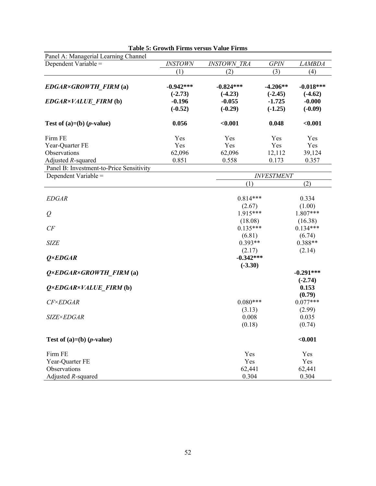| Panel A: Managerial Learning Channel     |                          |                          |                         |                          |
|------------------------------------------|--------------------------|--------------------------|-------------------------|--------------------------|
| Dependent Variable =                     | <b>INSTOWN</b>           | <b>INSTOWN TRA</b>       | <b>GPIN</b>             | <b>LAMBDA</b>            |
|                                          | (1)                      | (2)                      | (3)                     | (4)                      |
| EDGAR×GROWTH_FIRM (a)                    | $-0.942***$<br>$(-2.73)$ | $-0.824***$<br>$(-4.23)$ | $-4.206**$<br>$(-2.45)$ | $-0.018***$<br>$(-4.62)$ |
| EDGAR×VALUE_FIRM (b)                     | $-0.196$<br>$(-0.52)$    | $-0.055$<br>$(-0.29)$    | $-1.725$<br>$(-1.25)$   | $-0.000$<br>$(-0.09)$    |
| Test of $(a)=(b)$ ( <i>p</i> -value)     | 0.056                    | < 0.001                  | 0.048                   | < 0.001                  |
| Firm FE                                  | Yes                      | Yes                      | Yes                     | Yes                      |
| Year-Quarter FE                          | Yes                      | Yes                      | Yes                     | Yes                      |
| Observations                             | 62,096                   | 62,096                   | 12,112                  | 39,124                   |
| Adjusted R-squared                       | 0.851                    | 0.558                    | 0.173                   | 0.357                    |
| Panel B: Investment-to-Price Sensitivity |                          |                          |                         |                          |
| Dependent Variable =                     |                          |                          | <b>INVESTMENT</b>       |                          |
|                                          |                          | (1)                      |                         | (2)                      |
| <b>EDGAR</b>                             |                          | $0.814***$               |                         | 0.334                    |
|                                          |                          | (2.67)                   |                         | (1.00)                   |
| $\varrho$                                |                          | 1.915***                 |                         | $1.807***$               |
|                                          |                          | (18.08)                  |                         | (16.38)                  |
| CF                                       |                          | $0.135***$               |                         | $0.134***$               |
|                                          |                          | (6.81)                   |                         | (6.74)                   |
| <b>SIZE</b>                              |                          | $0.393**$                |                         | $0.388**$                |
| $Q \times EDGAR$                         |                          | (2.17)<br>$-0.342***$    |                         | (2.14)                   |
|                                          |                          | $(-3.30)$                |                         |                          |
| $Q \times EDGAR \times GROWTH$ FIRM (a)  |                          |                          |                         | $-0.291***$              |
|                                          |                          |                          |                         | $(-2.74)$                |
| $Q \times EDGAR \times VALUE$ FIRM (b)   |                          |                          |                         | 0.153                    |
|                                          |                          |                          |                         | (0.79)                   |
| <b>CF×EDGAR</b>                          |                          | $0.080***$               |                         | $0.077***$               |
|                                          |                          | (3.13)                   |                         | (2.99)                   |
| <b>SIZE×EDGAR</b>                        |                          | 0.008                    |                         | 0.035                    |
|                                          |                          | (0.18)                   |                         | (0.74)                   |
| Test of $(a)=(b)$ ( <i>p</i> -value)     |                          |                          |                         | $0.001$                  |
| Firm FE                                  |                          | Yes                      |                         | Yes                      |
| Year-Quarter FE                          |                          | Yes                      |                         | Yes                      |
| Observations                             |                          | 62,441                   |                         | 62,441                   |
| Adjusted R-squared                       |                          | 0.304                    |                         | 0.304                    |

**Table 5: Growth Firms versus Value Firms**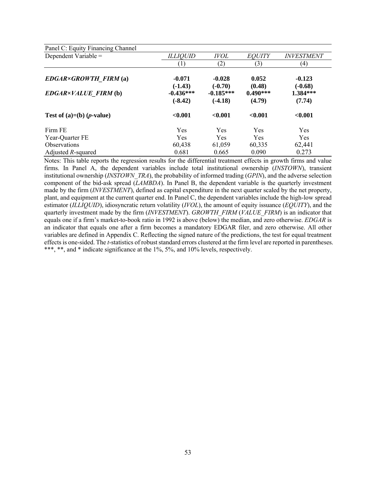| Panel C: Equity Financing Channel |                          |                          |                      |                       |
|-----------------------------------|--------------------------|--------------------------|----------------------|-----------------------|
| Dependent Variable =              | ILLIOUID                 | <i><b>IVOL</b></i>       | <b>EOUITY</b>        | <b>INVESTMENT</b>     |
|                                   | $\left(1\right)$         | (2)                      | (3)                  | (4)                   |
| $EDGAR \times GROWTH$ FIRM (a)    | $-0.071$<br>$(-1.43)$    | $-0.028$<br>$(-0.70)$    | 0.052<br>(0.48)      | $-0.123$<br>$(-0.68)$ |
| <b>EDGAR×VALUE FIRM (b)</b>       | $-0.436***$<br>$(-8.42)$ | $-0.185***$<br>$(-4.18)$ | $0.490***$<br>(4.79) | 1.384***<br>(7.74)    |
| Test of (a)=(b) (p-value)         | < 0.001                  | < 0.001                  | $0.001$              | < 0.001               |
| Firm FE                           | Yes                      | <b>Yes</b>               | Yes                  | Yes                   |
| Year-Quarter FE                   | <b>Yes</b>               | <b>Yes</b>               | Yes                  | <b>Yes</b>            |
| <b>Observations</b>               | 60,438                   | 61,059                   | 60,335               | 62,441                |
| Adjusted $R$ -squared             | 0.681                    | 0.665                    | 0.090                | 0.273                 |

Notes: This table reports the regression results for the differential treatment effects in growth firms and value firms. In Panel A, the dependent variables include total institutional ownership (*INSTOWN*), transient institutional ownership (*INSTOWN\_TRA*), the probability of informed trading (*GPIN*), and the adverse selection component of the bid-ask spread (*LAMBDA*). In Panel B, the dependent variable is the quarterly investment made by the firm (*INVESTMENT*), defined as capital expenditure in the next quarter scaled by the net property, plant, and equipment at the current quarter end. In Panel C, the dependent variables include the high-low spread estimator (*ILLIQUID*), idiosyncratic return volatility (*IVOL*), the amount of equity issuance (*EQUITY*), and the quarterly investment made by the firm (*INVESTMENT*). *GROWTH\_FIRM* (*VALUE\_FIRM*) is an indicator that equals one if a firm's market-to-book ratio in 1992 is above (below) the median, and zero otherwise. *EDGAR* is an indicator that equals one after a firm becomes a mandatory EDGAR filer, and zero otherwise. All other variables are defined in Appendix C. Reflecting the signed nature of the predictions, the test for equal treatment effects is one-sided. The *t*-statistics of robust standard errors clustered at the firm level are reported in parentheses. \*\*\*, \*\*, and \* indicate significance at the 1%, 5%, and 10% levels, respectively.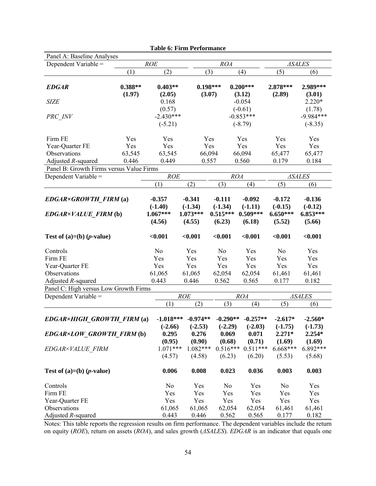|                                                        |                     | <b>Table 6: Firm Performance</b> |                 |                      |                       |                       |                       |  |
|--------------------------------------------------------|---------------------|----------------------------------|-----------------|----------------------|-----------------------|-----------------------|-----------------------|--|
| Panel A: Baseline Analyses                             |                     |                                  |                 |                      |                       |                       |                       |  |
| Dependent Variable =                                   | <b>ROE</b>          |                                  |                 | <b>ROA</b>           |                       | <b>ASALES</b>         |                       |  |
|                                                        | (1)                 | (2)                              | (3)             |                      | (4)                   | (5)                   | (6)                   |  |
|                                                        |                     | $0.403**$                        |                 | $0.198***$           | $0.200***$            | 2.878***              | 2.989***              |  |
| <b>EDGAR</b>                                           | $0.388**$<br>(1.97) | (2.05)                           |                 | (3.07)               | (3.12)                | (2.89)                | (3.01)                |  |
| <b>SIZE</b>                                            |                     | 0.168                            |                 |                      | $-0.054$              |                       | $2.220*$              |  |
|                                                        |                     | (0.57)                           |                 |                      | $(-0.61)$             |                       | (1.78)                |  |
| PRC INV                                                |                     | $-2.430***$                      |                 |                      | $-0.853***$           |                       | $-9.984***$           |  |
|                                                        |                     | $(-5.21)$                        |                 |                      | $(-8.79)$             |                       | $(-8.35)$             |  |
|                                                        |                     |                                  |                 |                      |                       |                       |                       |  |
| Firm FE                                                | Yes                 | Yes                              |                 | Yes                  | Yes                   | Yes                   | Yes                   |  |
| Year-Quarter FE                                        | Yes                 | Yes                              |                 | Yes                  | Yes                   | Yes                   | Yes                   |  |
| Observations                                           | 63,545              | 63,545                           |                 | 66,094               | 66,094                | 65,477                | 65,477                |  |
| Adjusted R-squared                                     | 0.446               | 0.449                            | 0.557           |                      | 0.560                 | 0.179                 | 0.184                 |  |
| Panel B: Growth Firms versus Value Firms               |                     |                                  |                 |                      |                       |                       |                       |  |
| Dependent Variable =                                   |                     | ROE                              |                 | <b>ROA</b>           |                       |                       | <b>ASALES</b>         |  |
|                                                        |                     | (1)                              | (2)             | (3)                  | (4)                   | (5)                   | (6)                   |  |
|                                                        |                     |                                  |                 |                      |                       |                       |                       |  |
| EDGAR×GROWTH FIRM (a)                                  |                     | $-0.357$                         | $-0.341$        | $-0.111$             | $-0.092$              | $-0.172$              | $-0.136$              |  |
|                                                        |                     | $(-1.40)$                        | $(-1.34)$       | $(-1.34)$            | $(-1.11)$             | $(-0.15)$             | $(-0.12)$             |  |
| EDGAR×VALUE FIRM (b)                                   |                     | $1.067***$                       | $1.073***$      | $0.515***$           | $0.509***$            | $6.650***$            | $6.853***$            |  |
|                                                        |                     | (4.56)                           | (4.55)          | (6.23)               | (6.18)                | (5.52)                | (5.66)                |  |
| Test of $(a)=(b)$ ( <i>p</i> -value)                   |                     | < 0.001                          | < 0.001         | < 0.001              | < 0.001               | < 0.001               | < 0.001               |  |
| Controls                                               |                     | No                               | Yes             | N <sub>o</sub>       | Yes                   | N <sub>o</sub>        | Yes                   |  |
| Firm FE                                                |                     | Yes                              | Yes             | Yes                  | Yes                   | Yes                   | Yes                   |  |
| Year-Quarter FE                                        |                     | Yes                              | Yes             | Yes                  | Yes                   | Yes                   | Yes                   |  |
| Observations                                           |                     | 61,065                           | 61,065          | 62,054               | 62,054                | 61,461                | 61,461                |  |
| Adjusted R-squared                                     |                     | 0.443                            | 0.446           | 0.562                | 0.565                 | 0.177                 | 0.182                 |  |
| Panel C: High versus Low Growth Firms                  |                     |                                  |                 |                      |                       |                       |                       |  |
| Dependent Variable =                                   |                     |                                  | <b>ROE</b>      |                      | <b>ROA</b>            |                       | <b>ASALES</b>         |  |
|                                                        |                     | (1)                              | (2)             | (3)                  | (4)                   | (5)                   | (6)                   |  |
|                                                        |                     |                                  |                 |                      |                       |                       |                       |  |
| $EDGAR \times HIGH$ GROWTH FIRM (a) -1.018*** -0.974** |                     |                                  |                 |                      | $-0.290**$ $-0.257**$ | $-2.617*$             | $-2.560*$             |  |
|                                                        |                     | $(-2.66)$                        | $(-2.53)$       | $(-2.29)$            | $(-2.03)$             | $(-1.75)$<br>$2.271*$ | $(-1.73)$<br>$2.254*$ |  |
| EDGAR×LOW_GROWTH_FIRM(b)                               |                     | 0.295                            | 0.276<br>(0.90) | 0.069                | 0.071                 |                       |                       |  |
| EDGAR×VALUE FIRM                                       |                     | (0.95)<br>$1.071***$             | $1.082***$      | (0.68)<br>$0.516***$ | (0.71)<br>$0.511***$  | (1.69)<br>$6.668***$  | (1.69)<br>6.892***    |  |
|                                                        |                     | (4.57)                           | (4.58)          | (6.23)               | (6.20)                | (5.53)                | (5.68)                |  |
|                                                        |                     |                                  |                 |                      |                       |                       |                       |  |
| Test of $(a)=(b)$ ( <i>p</i> -value)                   |                     | 0.006                            | 0.008           | 0.023                | 0.036                 | 0.003                 | 0.003                 |  |
| Controls                                               |                     | No                               | Yes             | No                   | Yes                   | No                    | Yes                   |  |
| Firm FE                                                |                     | Yes                              | Yes             | Yes                  | Yes                   | Yes                   | Yes                   |  |
| Year-Quarter FE                                        |                     | Yes                              | Yes             | Yes                  | Yes                   | Yes                   | Yes                   |  |
| Observations                                           |                     | 61,065                           | 61,065          | 62,054               | 62,054                | 61,461                | 61,461                |  |
| Adjusted $R$ -squared                                  |                     | 0.443                            | 0.446           | 0.562                | 0.565                 | 0.177                 | 0.182                 |  |

Notes: This table reports the regression results on firm performance. The dependent variables include the return on equity (*ROE*), return on assets (*ROA*), and sales growth (*ΔSALES*). *EDGAR* is an indicator that equals one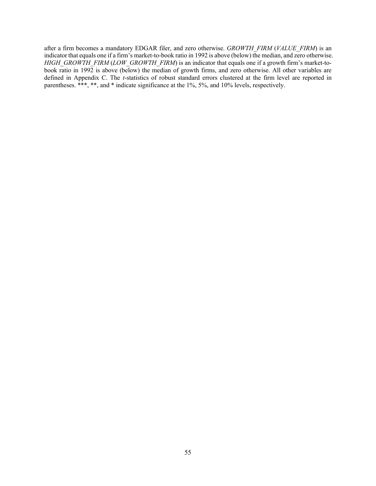after a firm becomes a mandatory EDGAR filer, and zero otherwise. *GROWTH\_FIRM* (*VALUE\_FIRM*) is an indicator that equals one if a firm's market-to-book ratio in 1992 is above (below) the median, and zero otherwise. *HIGH\_GROWTH\_FIRM* (*LOW\_GROWTH\_FIRM*) is an indicator that equals one if a growth firm's market-tobook ratio in 1992 is above (below) the median of growth firms, and zero otherwise. All other variables are defined in Appendix C. The *t*-statistics of robust standard errors clustered at the firm level are reported in parentheses. \*\*\*, \*\*, and \* indicate significance at the 1%, 5%, and 10% levels, respectively.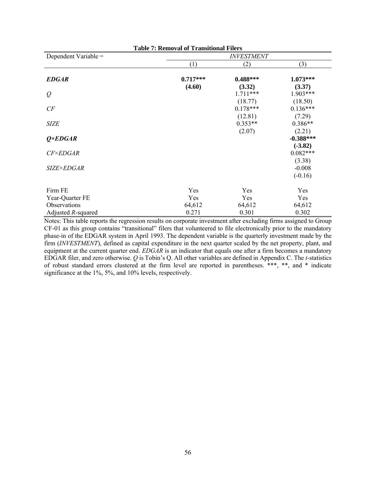| <b>Table 7: Removal of Transitional Filers</b> |            |                   |             |  |  |
|------------------------------------------------|------------|-------------------|-------------|--|--|
| Dependent Variable =                           |            | <b>INVESTMENT</b> |             |  |  |
|                                                | (1)        | (2)               | (3)         |  |  |
| <b>EDGAR</b>                                   | $0.717***$ | $0.488***$        | $1.073***$  |  |  |
|                                                | (4.60)     | (3.32)            | (3.37)      |  |  |
| $\varrho$                                      |            | $1.711***$        | $1.903***$  |  |  |
|                                                |            | (18.77)           | (18.50)     |  |  |
| CF                                             |            | $0.178***$        | $0.136***$  |  |  |
|                                                |            | (12.81)           | (7.29)      |  |  |
| <b>SIZE</b>                                    |            | $0.353**$         | $0.386**$   |  |  |
|                                                |            | (2.07)            | (2.21)      |  |  |
| $Q \times EDGAR$                               |            |                   | $-0.388***$ |  |  |
|                                                |            |                   | $(-3.82)$   |  |  |
| <b>CF×EDGAR</b>                                |            |                   | $0.082***$  |  |  |
|                                                |            |                   | (3.38)      |  |  |
| <i>SIZE×EDGAR</i>                              |            |                   | $-0.008$    |  |  |
|                                                |            |                   | $(-0.16)$   |  |  |
| Firm FE                                        | Yes        | Yes               | Yes         |  |  |
| Year-Quarter FE                                | Yes        | Yes               | Yes         |  |  |
| Observations                                   | 64,612     | 64,612            | 64,612      |  |  |
| Adjusted $R$ -squared                          | 0.271      | 0.301             | 0.302       |  |  |

Notes: This table reports the regression results on corporate investment after excluding firms assigned to Group CF-01 as this group contains "transitional" filers that volunteered to file electronically prior to the mandatory phase-in of the EDGAR system in April 1993. The dependent variable is the quarterly investment made by the firm (*INVESTMENT*), defined as capital expenditure in the next quarter scaled by the net property, plant, and equipment at the current quarter end. *EDGAR* is an indicator that equals one after a firm becomes a mandatory EDGAR filer, and zero otherwise. *Q* is Tobin's Q. All other variables are defined in Appendix C. The *t*-statistics of robust standard errors clustered at the firm level are reported in parentheses. \*\*\*, \*\*, and \* indicate significance at the 1%, 5%, and 10% levels, respectively.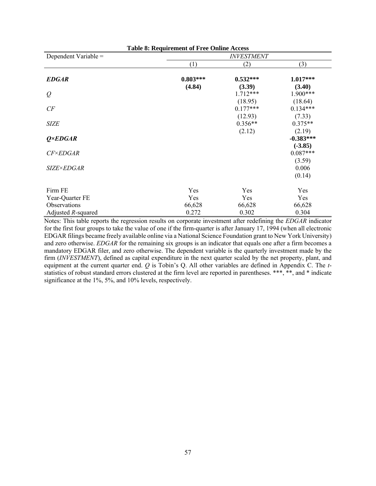| <b>Table 8: Requirement of Free Online Access</b> |            |                       |                         |  |  |
|---------------------------------------------------|------------|-----------------------|-------------------------|--|--|
| Dependent Variable =                              |            | <b>INVESTMENT</b>     |                         |  |  |
|                                                   | (1)        | (2)                   | (3)                     |  |  |
| <b>EDGAR</b>                                      | $0.803***$ | $0.532***$            | $1.017***$              |  |  |
| $\varrho$                                         | (4.84)     | (3.39)<br>$1.712***$  | (3.40)<br>$1.900***$    |  |  |
| CF                                                |            | (18.95)<br>$0.177***$ | (18.64)<br>$0.134***$   |  |  |
| <b>SIZE</b>                                       |            | (12.93)<br>$0.356**$  | (7.33)<br>$0.375**$     |  |  |
| $Q \times EDGAR$                                  |            | (2.12)                | (2.19)<br>$-0.383***$   |  |  |
| <b>CF×EDGAR</b>                                   |            |                       | $(-3.85)$<br>$0.087***$ |  |  |
| <i>SIZE×EDGAR</i>                                 |            |                       | (3.59)<br>0.006         |  |  |
|                                                   |            |                       | (0.14)                  |  |  |
| Firm FE                                           | Yes        | Yes                   | Yes                     |  |  |
| Year-Quarter FE                                   | Yes        | Yes                   | Yes                     |  |  |
| Observations                                      | 66,628     | 66,628                | 66,628                  |  |  |
| Adjusted R-squared                                | 0.272      | 0.302                 | 0.304                   |  |  |

Notes: This table reports the regression results on corporate investment after redefining the *EDGAR* indicator for the first four groups to take the value of one if the firm-quarter is after January 17, 1994 (when all electronic EDGAR filings became freely available online via a National Science Foundation grant to New York University) and zero otherwise. *EDGAR* for the remaining six groups is an indicator that equals one after a firm becomes a mandatory EDGAR filer, and zero otherwise. The dependent variable is the quarterly investment made by the firm (*INVESTMENT*), defined as capital expenditure in the next quarter scaled by the net property, plant, and equipment at the current quarter end. *Q* is Tobin's Q. All other variables are defined in Appendix C. The *t*statistics of robust standard errors clustered at the firm level are reported in parentheses. \*\*\*, \*\*, and \* indicate significance at the 1%, 5%, and 10% levels, respectively.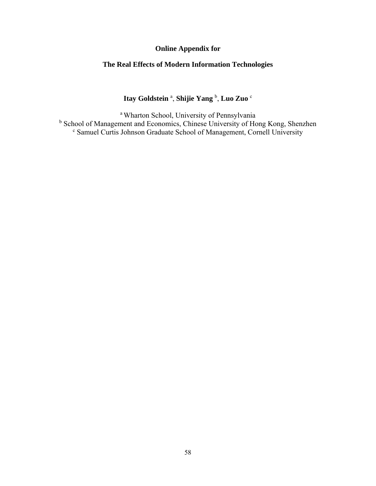# **Online Appendix for**

# **The Real Effects of Modern Information Technologies**

# **Itay Goldstein** <sup>a</sup> , **Shijie Yang** <sup>b</sup> , **Luo Zuo** <sup>c</sup>

<sup>a</sup> Wharton School, University of Pennsylvania <sup>b</sup> School of Management and Economics, Chinese University of Hong Kong, Shenzhen <sup>c</sup> Samuel Curtis Johnson Graduate School of Management, Cornell University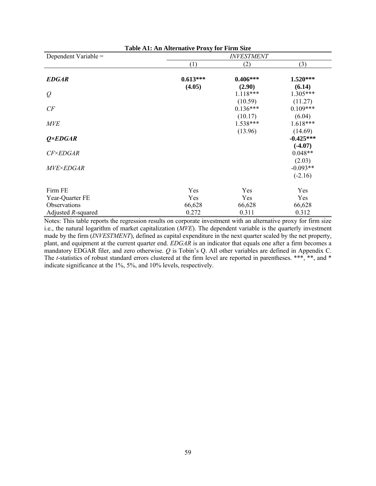| Table A1: An Alternative Proxy for Firm Size |            |                   |             |  |  |
|----------------------------------------------|------------|-------------------|-------------|--|--|
| Dependent Variable =                         |            | <b>INVESTMENT</b> |             |  |  |
|                                              | (1)        | (2)               | (3)         |  |  |
| <b>EDGAR</b>                                 | $0.613***$ | $0.406***$        | $1.520***$  |  |  |
|                                              | (4.05)     | (2.90)            | (6.14)      |  |  |
| $\varrho$                                    |            | $1.118***$        | $1.305***$  |  |  |
|                                              |            | (10.59)           | (11.27)     |  |  |
| CF                                           |            | $0.136***$        | $0.109***$  |  |  |
|                                              |            | (10.17)           | (6.04)      |  |  |
| <b>MVE</b>                                   |            | $1.538***$        | $1.618***$  |  |  |
|                                              |            | (13.96)           | (14.69)     |  |  |
| $Q \times EDGAR$                             |            |                   | $-0.425***$ |  |  |
|                                              |            |                   | $(-4.07)$   |  |  |
| <b>CF×EDGAR</b>                              |            |                   | $0.048**$   |  |  |
|                                              |            |                   | (2.03)      |  |  |
| <i>MVE×EDGAR</i>                             |            |                   | $-0.093**$  |  |  |
|                                              |            |                   | $(-2.16)$   |  |  |
| Firm FE                                      | Yes        | Yes               | Yes         |  |  |
| Year-Quarter FE                              | Yes        | Yes               | Yes         |  |  |
| Observations                                 | 66,628     | 66,628            | 66,628      |  |  |
| Adjusted R-squared                           | 0.272      | 0.311             | 0.312       |  |  |

Notes: This table reports the regression results on corporate investment with an alternative proxy for firm size i.e., the natural logarithm of market capitalization (*MVE*). The dependent variable is the quarterly investment made by the firm (*INVESTMENT*), defined as capital expenditure in the next quarter scaled by the net property, plant, and equipment at the current quarter end. *EDGAR* is an indicator that equals one after a firm becomes a mandatory EDGAR filer, and zero otherwise. *Q* is Tobin's Q. All other variables are defined in Appendix C. The *t*-statistics of robust standard errors clustered at the firm level are reported in parentheses. \*\*\*, \*\*, and \* indicate significance at the 1%, 5%, and 10% levels, respectively.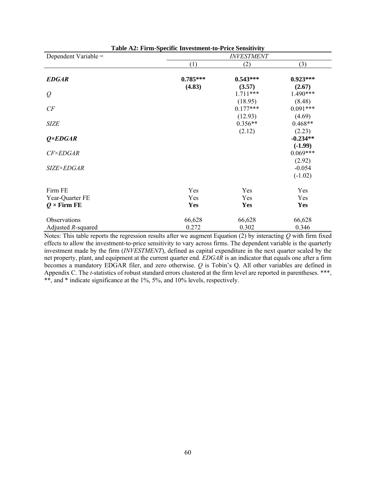| Dependent Variable =  | <b>INVESTMENT</b> |                       |                         |  |
|-----------------------|-------------------|-----------------------|-------------------------|--|
|                       | (1)               | (2)                   | (3)                     |  |
| <b>EDGAR</b>          | $0.785***$        | $0.543***$            | $0.923***$              |  |
| $\varrho$             | (4.83)            | (3.57)<br>$1.711***$  | (2.67)<br>$1.490***$    |  |
| CF                    |                   | (18.95)<br>$0.177***$ | (8.48)<br>$0.091***$    |  |
| <b>SIZE</b>           |                   | (12.93)<br>$0.356**$  | (4.69)<br>$0.468**$     |  |
| $Q \times EDGAR$      |                   | (2.12)                | (2.23)<br>$-0.234**$    |  |
| $CF\times EDGAR$      |                   |                       | $(-1.99)$<br>$0.069***$ |  |
| <b>SIZE×EDGAR</b>     |                   |                       | (2.92)<br>$-0.054$      |  |
|                       |                   |                       | $(-1.02)$               |  |
| Firm FE               | Yes               | Yes                   | Yes                     |  |
| Year-Quarter FE       | Yes               | Yes                   | Yes                     |  |
| $Q \times$ Firm FE    | Yes               | Yes                   | <b>Yes</b>              |  |
| Observations          | 66,628            | 66,628                | 66,628                  |  |
| Adjusted $R$ -squared | 0.272             | 0.302                 | 0.346                   |  |

Notes: This table reports the regression results after we augment Equation (2) by interacting *Q* with firm fixed effects to allow the investment-to-price sensitivity to vary across firms. The dependent variable is the quarterly investment made by the firm (*INVESTMENT*), defined as capital expenditure in the next quarter scaled by the net property, plant, and equipment at the current quarter end. *EDGAR* is an indicator that equals one after a firm becomes a mandatory EDGAR filer, and zero otherwise. *Q* is Tobin's Q. All other variables are defined in Appendix C. The *t*-statistics of robust standard errors clustered at the firm level are reported in parentheses. \*\*\*, \*\*, and \* indicate significance at the 1%, 5%, and 10% levels, respectively.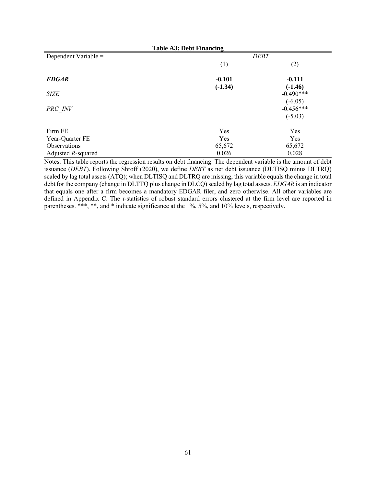| <b>Table A3: Debt Financing</b> |                  |             |  |
|---------------------------------|------------------|-------------|--|
| Dependent Variable =            |                  | <b>DEBT</b> |  |
|                                 | $\left(1\right)$ | (2)         |  |
| <b>EDGAR</b>                    | $-0.101$         | $-0.111$    |  |
|                                 | $(-1.34)$        | $(-1.46)$   |  |
| <b>SIZE</b>                     |                  | $-0.490***$ |  |
|                                 |                  | $(-6.05)$   |  |
| PRC INV                         |                  | $-0.456***$ |  |
|                                 |                  | $(-5.03)$   |  |
| Firm FE                         | Yes              | Yes         |  |
| Year-Quarter FE                 | Yes              | Yes         |  |
| Observations                    | 65,672           | 65,672      |  |
| Adjusted $R$ -squared           | 0.026            | 0.028       |  |

Notes: This table reports the regression results on debt financing. The dependent variable is the amount of debt issuance (*DEBT*). Following Shroff (2020), we define *DEBT* as net debt issuance (DLTISQ minus DLTRQ) scaled by lag total assets (ATQ); when DLTISQ and DLTRQ are missing, this variable equals the change in total debt for the company (change in DLTTQ plus change in DLCQ) scaled by lag total assets. *EDGAR* is an indicator that equals one after a firm becomes a mandatory EDGAR filer, and zero otherwise. All other variables are defined in Appendix C. The *t*-statistics of robust standard errors clustered at the firm level are reported in parentheses. \*\*\*, \*\*, and \* indicate significance at the 1%, 5%, and 10% levels, respectively.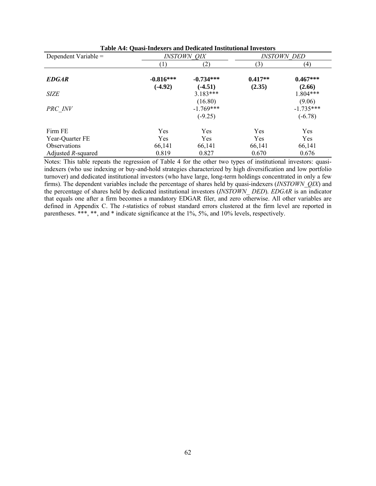| Dependent Variable =  | <b>INSTOWN QIX</b>       |                                     |                     |                                    |  | <b>INSTOWN DED</b> |
|-----------------------|--------------------------|-------------------------------------|---------------------|------------------------------------|--|--------------------|
|                       | $\left( 1\right)$        | (2)                                 | (3)                 | (4)                                |  |                    |
| <b>EDGAR</b>          | $-0.816***$<br>$(-4.92)$ | $-0.734***$<br>$(-4.51)$            | $0.417**$<br>(2.35) | $0.467***$<br>(2.66)               |  |                    |
| <b>SIZE</b>           |                          | $3.183***$                          |                     | $1.804***$                         |  |                    |
| PRC INV               |                          | (16.80)<br>$-1.769***$<br>$(-9.25)$ |                     | (9.06)<br>$-1.735***$<br>$(-6.78)$ |  |                    |
| Firm FE               | Yes                      | Yes                                 | Yes                 | Yes                                |  |                    |
| Year-Quarter FE       | Yes                      | Yes                                 | Yes                 | Yes                                |  |                    |
| <b>Observations</b>   | 66,141                   | 66,141                              | 66,141              | 66,141                             |  |                    |
| Adjusted $R$ -squared | 0.819                    | 0.827                               | 0.670               | 0.676                              |  |                    |

Notes: This table repeats the regression of Table 4 for the other two types of institutional investors: quasiindexers (who use indexing or buy-and-hold strategies characterized by high diversification and low portfolio turnover) and dedicated institutional investors (who have large, long-term holdings concentrated in only a few firms). The dependent variables include the percentage of shares held by quasi-indexers (*INSTOWN\_QIX*) and the percentage of shares held by dedicated institutional investors (*INSTOWN\_ DED*). *EDGAR* is an indicator that equals one after a firm becomes a mandatory EDGAR filer, and zero otherwise. All other variables are defined in Appendix C. The *t*-statistics of robust standard errors clustered at the firm level are reported in parentheses. \*\*\*, \*\*, and \* indicate significance at the 1%, 5%, and 10% levels, respectively.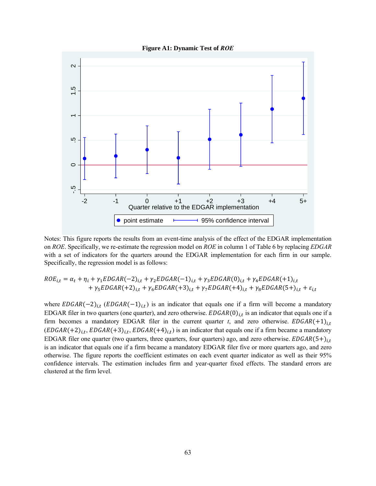



Notes: This figure reports the results from an event-time analysis of the effect of the EDGAR implementation on *ROE*. Specifically, we re-estimate the regression model on *ROE* in column 1 of Table 6 by replacing *EDGAR* with a set of indicators for the quarters around the EDGAR implementation for each firm in our sample. Specifically, the regression model is as follows:

$$
ROE_{i,t} = \alpha_t + \eta_i + \gamma_1 EDGAR(-2)_{i,t} + \gamma_2 EDGAR(-1)_{i,t} + \gamma_3 EDGAR(0)_{i,t} + \gamma_4 EDGAR(+1)_{i,t} + \gamma_5 EDGAR(+2)_{i,t} + \gamma_6 EDGAR(+3)_{i,t} + \gamma_7 EDGAR(+4)_{i,t} + \gamma_8 EDGAR(5+)_{i,t} + \varepsilon_{i,t}
$$

where  $EDGAR(-2)_{i,t}$  ( $EDGAR(-1)_{i,t}$ ) is an indicator that equals one if a firm will become a mandatory EDGAR filer in two quarters (one quarter), and zero otherwise.  $EDGAR(0)_{i,t}$  is an indicator that equals one if a firm becomes a mandatory EDGAR filer in the current quarter *t*, and zero otherwise.  $EDGAR(+1)_{i,t}$  $(EDGAR(+2)_{i,t}, EDGAR(+3)_{i,t}, EDGAR(+4)_{i,t})$  is an indicator that equals one if a firm became a mandatory EDGAR filer one quarter (two quarters, three quarters, four quarters) ago, and zero otherwise.  $EDGAR(5+)_{i,t}$ is an indicator that equals one if a firm became a mandatory EDGAR filer five or more quarters ago, and zero otherwise. The figure reports the coefficient estimates on each event quarter indicator as well as their 95% confidence intervals. The estimation includes firm and year-quarter fixed effects. The standard errors are clustered at the firm level.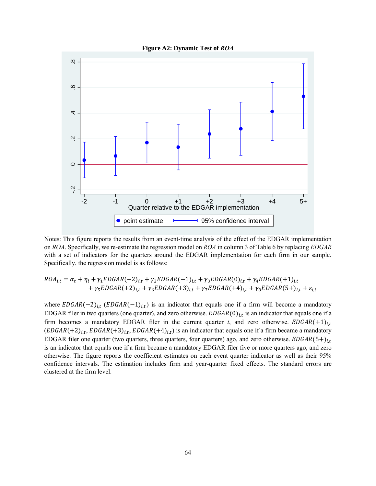



Notes: This figure reports the results from an event-time analysis of the effect of the EDGAR implementation on *ROA*. Specifically, we re-estimate the regression model on *ROA* in column 3 of Table 6 by replacing *EDGAR* with a set of indicators for the quarters around the EDGAR implementation for each firm in our sample. Specifically, the regression model is as follows:

$$
ROA_{i,t} = \alpha_t + \eta_i + \gamma_1 EDGAR(-2)_{i,t} + \gamma_2 EDGAR(-1)_{i,t} + \gamma_3 EDGAR(0)_{i,t} + \gamma_4 EDGAR(+1)_{i,t} + \gamma_5 EDGAR(+2)_{i,t} + \gamma_6 EDGAR(+3)_{i,t} + \gamma_7 EDGAR(+4)_{i,t} + \gamma_8 EDGAR(5+)_{i,t} + \varepsilon_{i,t}
$$

where  $EDGAR(-2)_{i,t}$  ( $EDGAR(-1)_{i,t}$ ) is an indicator that equals one if a firm will become a mandatory EDGAR filer in two quarters (one quarter), and zero otherwise.  $EDGAR(0)_{i,t}$  is an indicator that equals one if a firm becomes a mandatory EDGAR filer in the current quarter *t*, and zero otherwise.  $EDGAR(+1)_{i,t}$  $(EDGAR(+2)<sub>i,t</sub>, EDGAR(+3)<sub>i,t</sub>, EDGAR(+4)<sub>i,t</sub>)$  is an indicator that equals one if a firm became a mandatory EDGAR filer one quarter (two quarters, three quarters, four quarters) ago, and zero otherwise.  $EDGAR(5+)_{i,t}$ is an indicator that equals one if a firm became a mandatory EDGAR filer five or more quarters ago, and zero otherwise. The figure reports the coefficient estimates on each event quarter indicator as well as their 95% confidence intervals. The estimation includes firm and year-quarter fixed effects. The standard errors are clustered at the firm level.